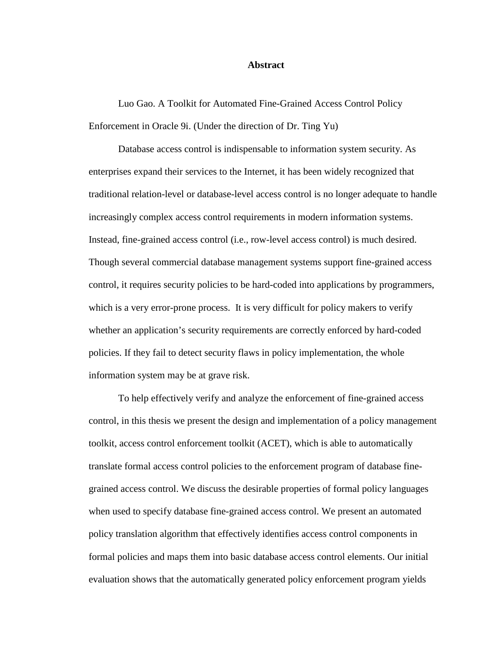#### **Abstract**

Luo Gao. A Toolkit for Automated Fine-Grained Access Control Policy Enforcement in Oracle 9i. (Under the direction of Dr. Ting Yu)

Database access control is indispensable to information system security. As enterprises expand their services to the Internet, it has been widely recognized that traditional relation-level or database-level access control is no longer adequate to handle increasingly complex access control requirements in modern information systems. Instead, fine-grained access control (i.e., row-level access control) is much desired. Though several commercial database management systems support fine-grained access control, it requires security policies to be hard-coded into applications by programmers, which is a very error-prone process. It is very difficult for policy makers to verify whether an application's security requirements are correctly enforced by hard-coded policies. If they fail to detect security flaws in policy implementation, the whole information system may be at grave risk.

To help effectively verify and analyze the enforcement of fine-grained access control, in this thesis we present the design and implementation of a policy management toolkit, access control enforcement toolkit (ACET), which is able to automatically translate formal access control policies to the enforcement program of database finegrained access control. We discuss the desirable properties of formal policy languages when used to specify database fine-grained access control. We present an automated policy translation algorithm that effectively identifies access control components in formal policies and maps them into basic database access control elements. Our initial evaluation shows that the automatically generated policy enforcement program yields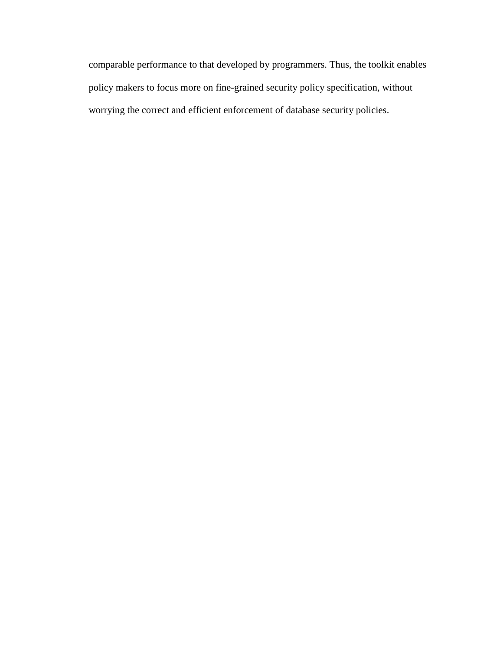comparable performance to that developed by programmers. Thus, the toolkit enables policy makers to focus more on fine-grained security policy specification, without worrying the correct and efficient enforcement of database security policies.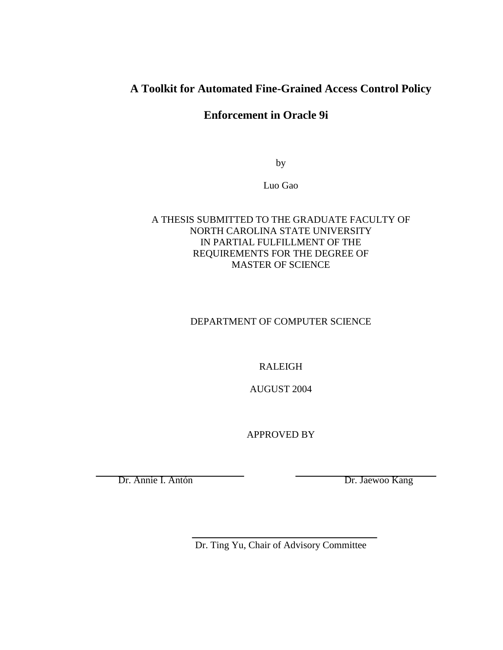# **A Toolkit for Automated Fine-Grained Access Control Policy**

**Enforcement in Oracle 9i** 

by

Luo Gao

## A THESIS SUBMITTED TO THE GRADUATE FACULTY OF NORTH CAROLINA STATE UNIVERSITY IN PARTIAL FULFILLMENT OF THE REQUIREMENTS FOR THE DEGREE OF MASTER OF SCIENCE

# DEPARTMENT OF COMPUTER SCIENCE

# RALEIGH

AUGUST 2004

APPROVED BY

Dr. Annie I. Antón Dr. Jaewoo Kang

Dr. Ting Yu, Chair of Advisory Committee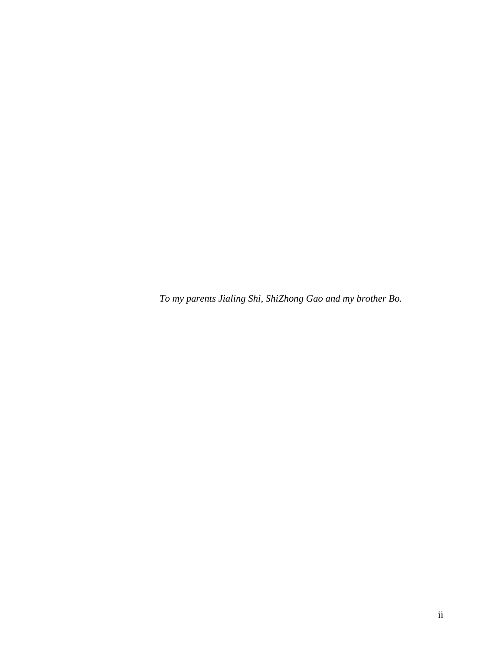*To my parents Jialing Shi, ShiZhong Gao and my brother Bo.*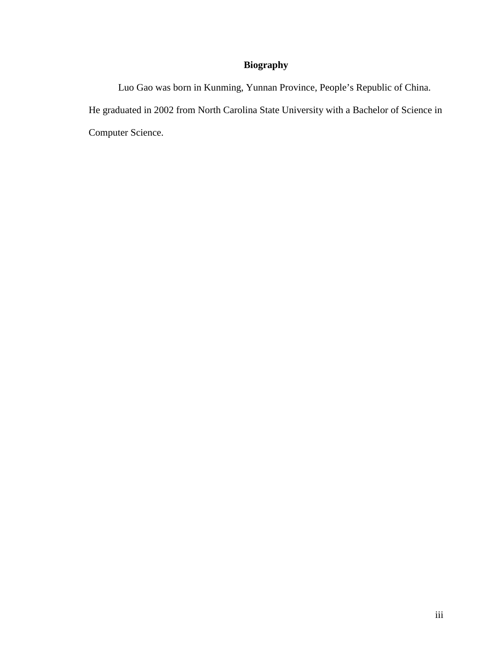# **Biography**

Luo Gao was born in Kunming, Yunnan Province, People's Republic of China. He graduated in 2002 from North Carolina State University with a Bachelor of Science in Computer Science.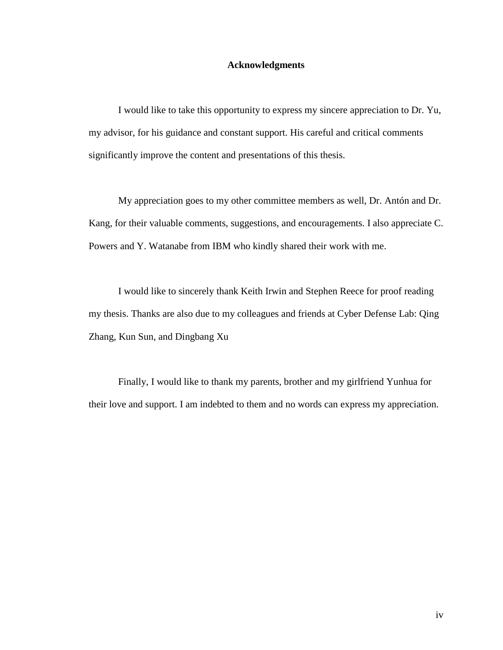#### **Acknowledgments**

I would like to take this opportunity to express my sincere appreciation to Dr. Yu, my advisor, for his guidance and constant support. His careful and critical comments significantly improve the content and presentations of this thesis.

My appreciation goes to my other committee members as well, Dr. Antón and Dr. Kang, for their valuable comments, suggestions, and encouragements. I also appreciate C. Powers and Y. Watanabe from IBM who kindly shared their work with me.

I would like to sincerely thank Keith Irwin and Stephen Reece for proof reading my thesis. Thanks are also due to my colleagues and friends at Cyber Defense Lab: Qing Zhang, Kun Sun, and Dingbang Xu

Finally, I would like to thank my parents, brother and my girlfriend Yunhua for their love and support. I am indebted to them and no words can express my appreciation.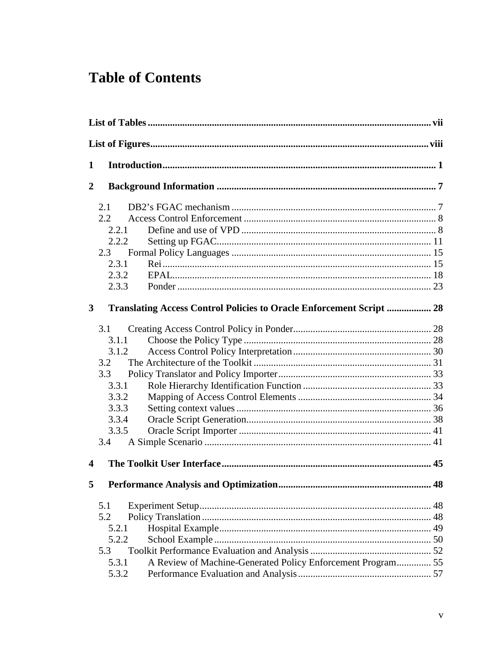# **Table of Contents**

| 1                       |                                                                                                                      |    |  |  |  |
|-------------------------|----------------------------------------------------------------------------------------------------------------------|----|--|--|--|
| $\overline{2}$          |                                                                                                                      |    |  |  |  |
|                         | 2.1<br>2.2<br>2.2.1<br>2.2.2<br>2.3<br>2.3.1<br>2.3.2<br>2.3.3                                                       |    |  |  |  |
| $\mathbf{3}$            | <b>Translating Access Control Policies to Oracle Enforcement Script  28</b>                                          |    |  |  |  |
|                         | 3.1<br>3.1.1<br>3.1.2<br>3.2<br>3.3<br>3.3.1<br>3.3.2<br>3.3.3<br>3.3.4<br>3.3.5<br>3.4                              |    |  |  |  |
| $\overline{\mathbf{4}}$ |                                                                                                                      |    |  |  |  |
| 5 <sup>1</sup>          |                                                                                                                      | 48 |  |  |  |
|                         | 5.1<br>5.2<br>5.2.1<br>5.2.2<br>5.3<br>A Review of Machine-Generated Policy Enforcement Program 55<br>5.3.1<br>5.3.2 |    |  |  |  |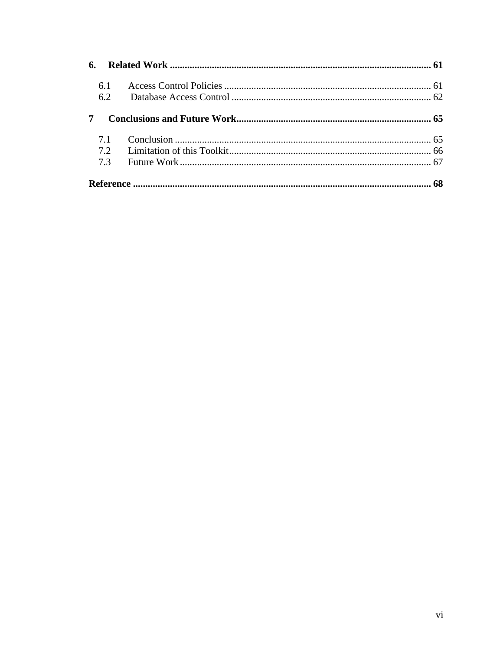| 6.  |  |
|-----|--|
| 6.1 |  |
| 6.2 |  |
| 7   |  |
| 7.1 |  |
| 7.2 |  |
| 7.3 |  |
|     |  |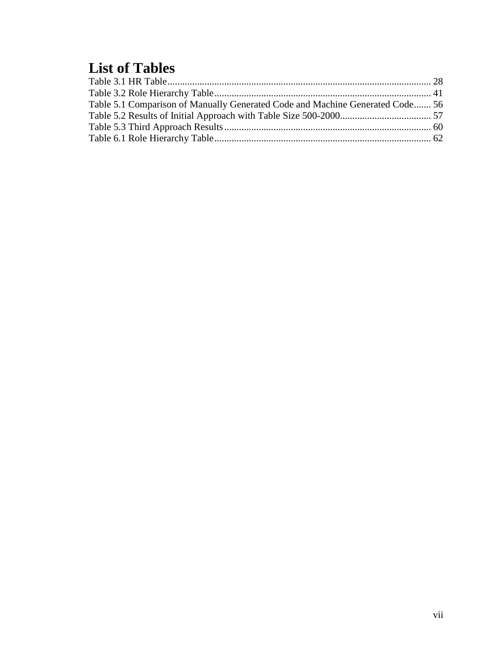# **List of Tables**

| Table 5.1 Comparison of Manually Generated Code and Machine Generated Code 56 |
|-------------------------------------------------------------------------------|
|                                                                               |
|                                                                               |
|                                                                               |
|                                                                               |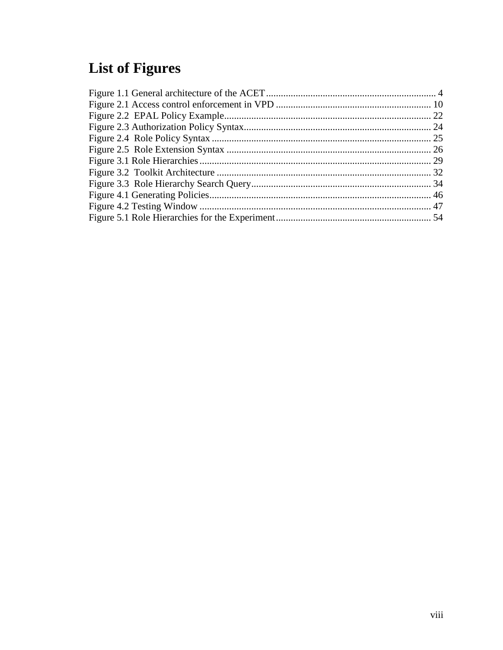# **List of Figures**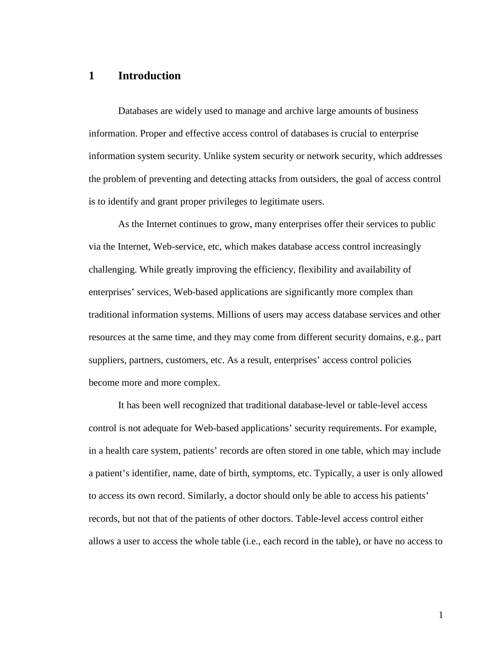## **1 Introduction**

Databases are widely used to manage and archive large amounts of business information. Proper and effective access control of databases is crucial to enterprise information system security. Unlike system security or network security, which addresses the problem of preventing and detecting attacks from outsiders, the goal of access control is to identify and grant proper privileges to legitimate users.

As the Internet continues to grow, many enterprises offer their services to public via the Internet, Web-service, etc, which makes database access control increasingly challenging. While greatly improving the efficiency, flexibility and availability of enterprises' services, Web-based applications are significantly more complex than traditional information systems. Millions of users may access database services and other resources at the same time, and they may come from different security domains, e.g., part suppliers, partners, customers, etc. As a result, enterprises' access control policies become more and more complex.

It has been well recognized that traditional database-level or table-level access control is not adequate for Web-based applications' security requirements. For example, in a health care system, patients' records are often stored in one table, which may include a patient's identifier, name, date of birth, symptoms, etc. Typically, a user is only allowed to access its own record. Similarly, a doctor should only be able to access his patients' records, but not that of the patients of other doctors. Table-level access control either allows a user to access the whole table (i.e., each record in the table), or have no access to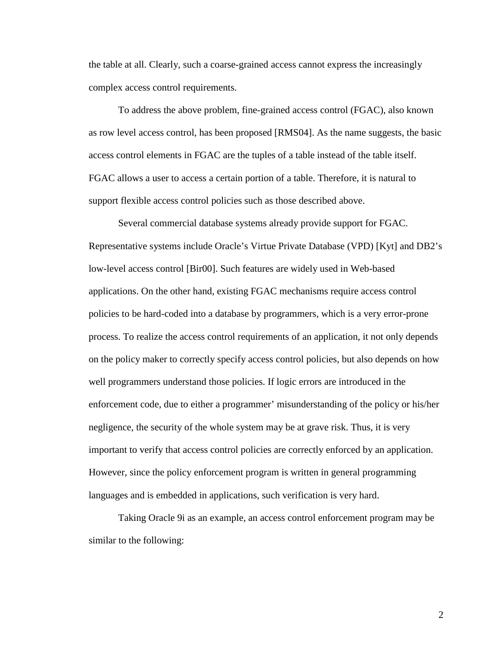the table at all. Clearly, such a coarse-grained access cannot express the increasingly complex access control requirements.

To address the above problem, fine-grained access control (FGAC), also known as row level access control, has been proposed [RMS04]. As the name suggests, the basic access control elements in FGAC are the tuples of a table instead of the table itself. FGAC allows a user to access a certain portion of a table. Therefore, it is natural to support flexible access control policies such as those described above.

Several commercial database systems already provide support for FGAC. Representative systems include Oracle's Virtue Private Database (VPD) [Kyt] and DB2's low-level access control [Bir00]. Such features are widely used in Web-based applications. On the other hand, existing FGAC mechanisms require access control policies to be hard-coded into a database by programmers, which is a very error-prone process. To realize the access control requirements of an application, it not only depends on the policy maker to correctly specify access control policies, but also depends on how well programmers understand those policies. If logic errors are introduced in the enforcement code, due to either a programmer' misunderstanding of the policy or his/her negligence, the security of the whole system may be at grave risk. Thus, it is very important to verify that access control policies are correctly enforced by an application. However, since the policy enforcement program is written in general programming languages and is embedded in applications, such verification is very hard.

Taking Oracle 9i as an example, an access control enforcement program may be similar to the following:

2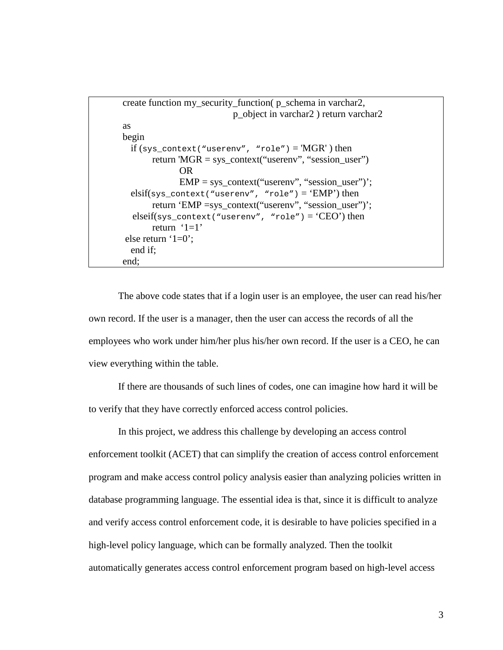```
create function my_security_function( p_schema in varchar2, 
                            p_object in varchar2 ) return varchar2 
as 
begin 
 if (sys\_context("userenv", "role") = 'MGR') then
       return 'MGR = sys_context("userenv", "session_user")
               OR 
             EMP = sys\_context("userenv", "session_user");elsif(sys_context("userenv", "role") = 'EMP') then
       return 'EMP =sys_context("userenv", "session_user")';
  elseif(sys_context("userenv", "role") = 'CEO') then
       return ^{\circ}1=1 else return '1=0'; 
  end if; 
end;
```
The above code states that if a login user is an employee, the user can read his/her own record. If the user is a manager, then the user can access the records of all the employees who work under him/her plus his/her own record. If the user is a CEO, he can view everything within the table.

If there are thousands of such lines of codes, one can imagine how hard it will be to verify that they have correctly enforced access control policies.

In this project, we address this challenge by developing an access control enforcement toolkit (ACET) that can simplify the creation of access control enforcement program and make access control policy analysis easier than analyzing policies written in database programming language. The essential idea is that, since it is difficult to analyze and verify access control enforcement code, it is desirable to have policies specified in a high-level policy language, which can be formally analyzed. Then the toolkit automatically generates access control enforcement program based on high-level access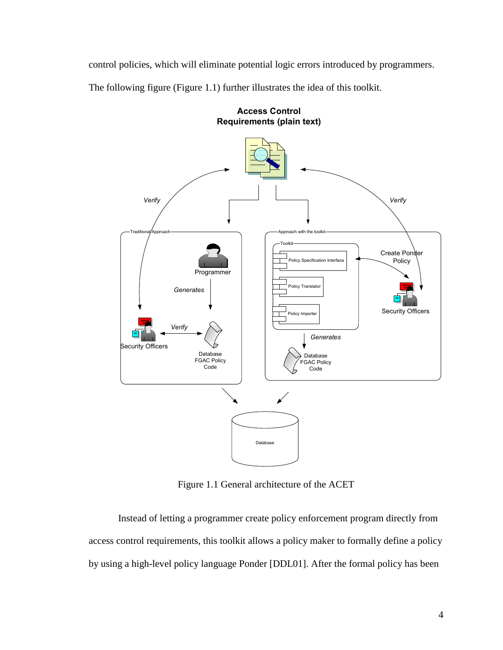control policies, which will eliminate potential logic errors introduced by programmers.

The following figure (Figure 1.1) further illustrates the idea of this toolkit.



Access Control

Figure 1.1 General architecture of the ACET

Instead of letting a programmer create policy enforcement program directly from access control requirements, this toolkit allows a policy maker to formally define a policy by using a high-level policy language Ponder [DDL01]. After the formal policy has been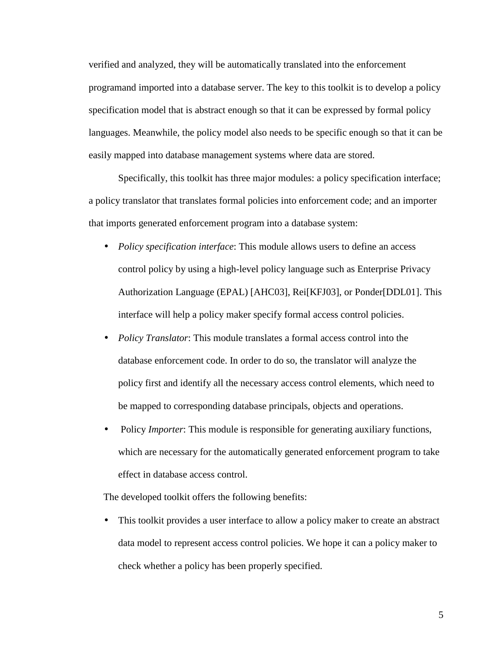verified and analyzed, they will be automatically translated into the enforcement programand imported into a database server. The key to this toolkit is to develop a policy specification model that is abstract enough so that it can be expressed by formal policy languages. Meanwhile, the policy model also needs to be specific enough so that it can be easily mapped into database management systems where data are stored.

Specifically, this toolkit has three major modules: a policy specification interface; a policy translator that translates formal policies into enforcement code; and an importer that imports generated enforcement program into a database system:

- *Policy specification interface*: This module allows users to define an access control policy by using a high-level policy language such as Enterprise Privacy Authorization Language (EPAL) [AHC03], Rei[KFJ03], or Ponder[DDL01]. This interface will help a policy maker specify formal access control policies.
- *Policy Translator*: This module translates a formal access control into the database enforcement code. In order to do so, the translator will analyze the policy first and identify all the necessary access control elements, which need to be mapped to corresponding database principals, objects and operations.
- Policy *Importer*: This module is responsible for generating auxiliary functions, which are necessary for the automatically generated enforcement program to take effect in database access control.

The developed toolkit offers the following benefits:

• This toolkit provides a user interface to allow a policy maker to create an abstract data model to represent access control policies. We hope it can a policy maker to check whether a policy has been properly specified.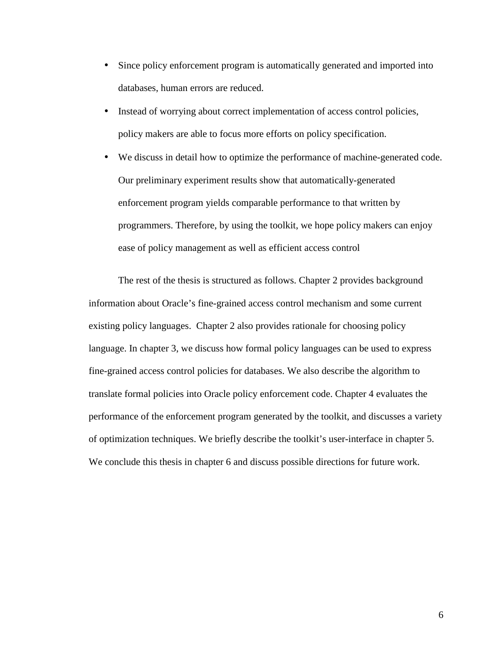- Since policy enforcement program is automatically generated and imported into databases, human errors are reduced.
- Instead of worrying about correct implementation of access control policies, policy makers are able to focus more efforts on policy specification.
- We discuss in detail how to optimize the performance of machine-generated code. Our preliminary experiment results show that automatically-generated enforcement program yields comparable performance to that written by programmers. Therefore, by using the toolkit, we hope policy makers can enjoy ease of policy management as well as efficient access control

The rest of the thesis is structured as follows. Chapter 2 provides background information about Oracle's fine-grained access control mechanism and some current existing policy languages. Chapter 2 also provides rationale for choosing policy language. In chapter 3, we discuss how formal policy languages can be used to express fine-grained access control policies for databases. We also describe the algorithm to translate formal policies into Oracle policy enforcement code. Chapter 4 evaluates the performance of the enforcement program generated by the toolkit, and discusses a variety of optimization techniques. We briefly describe the toolkit's user-interface in chapter 5. We conclude this thesis in chapter 6 and discuss possible directions for future work.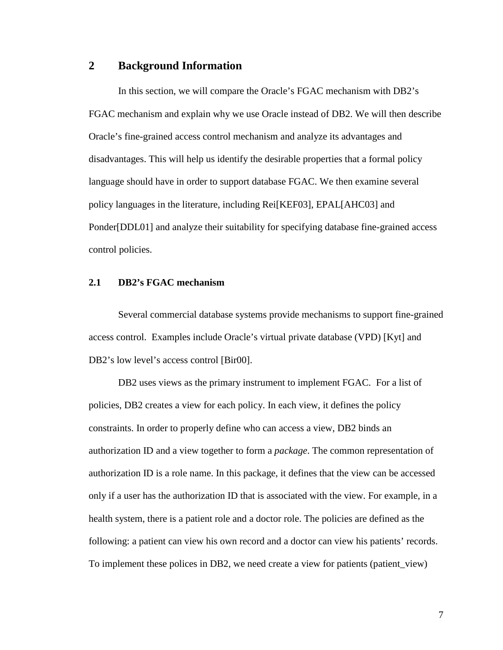## **2 Background Information**

In this section, we will compare the Oracle's FGAC mechanism with DB2's FGAC mechanism and explain why we use Oracle instead of DB2. We will then describe Oracle's fine-grained access control mechanism and analyze its advantages and disadvantages. This will help us identify the desirable properties that a formal policy language should have in order to support database FGAC. We then examine several policy languages in the literature, including Rei[KEF03], EPAL[AHC03] and Ponder[DDL01] and analyze their suitability for specifying database fine-grained access control policies.

### **2.1 DB2's FGAC mechanism**

Several commercial database systems provide mechanisms to support fine-grained access control. Examples include Oracle's virtual private database (VPD) [Kyt] and DB2's low level's access control [Bir00].

DB2 uses views as the primary instrument to implement FGAC. For a list of policies, DB2 creates a view for each policy. In each view, it defines the policy constraints. In order to properly define who can access a view, DB2 binds an authorization ID and a view together to form a *package*. The common representation of authorization ID is a role name. In this package, it defines that the view can be accessed only if a user has the authorization ID that is associated with the view. For example, in a health system, there is a patient role and a doctor role. The policies are defined as the following: a patient can view his own record and a doctor can view his patients' records. To implement these polices in DB2, we need create a view for patients (patient\_view)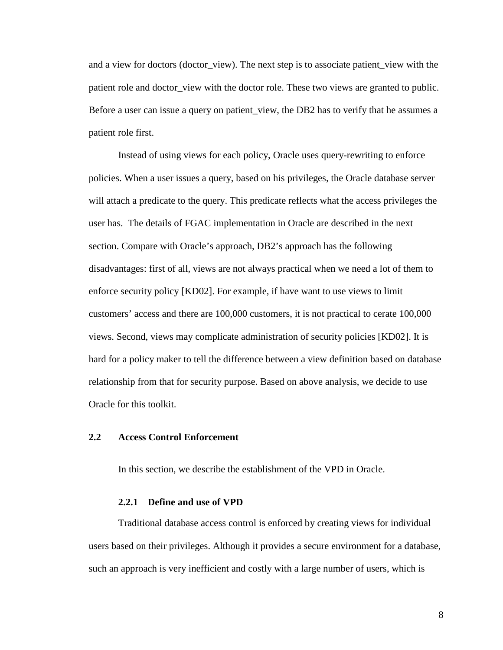and a view for doctors (doctor view). The next step is to associate patient view with the patient role and doctor\_view with the doctor role. These two views are granted to public. Before a user can issue a query on patient view, the DB2 has to verify that he assumes a patient role first.

Instead of using views for each policy, Oracle uses query-rewriting to enforce policies. When a user issues a query, based on his privileges, the Oracle database server will attach a predicate to the query. This predicate reflects what the access privileges the user has. The details of FGAC implementation in Oracle are described in the next section. Compare with Oracle's approach, DB2's approach has the following disadvantages: first of all, views are not always practical when we need a lot of them to enforce security policy [KD02]. For example, if have want to use views to limit customers' access and there are 100,000 customers, it is not practical to cerate 100,000 views. Second, views may complicate administration of security policies [KD02]. It is hard for a policy maker to tell the difference between a view definition based on database relationship from that for security purpose. Based on above analysis, we decide to use Oracle for this toolkit.

#### **2.2 Access Control Enforcement**

In this section, we describe the establishment of the VPD in Oracle.

#### **2.2.1 Define and use of VPD**

Traditional database access control is enforced by creating views for individual users based on their privileges. Although it provides a secure environment for a database, such an approach is very inefficient and costly with a large number of users, which is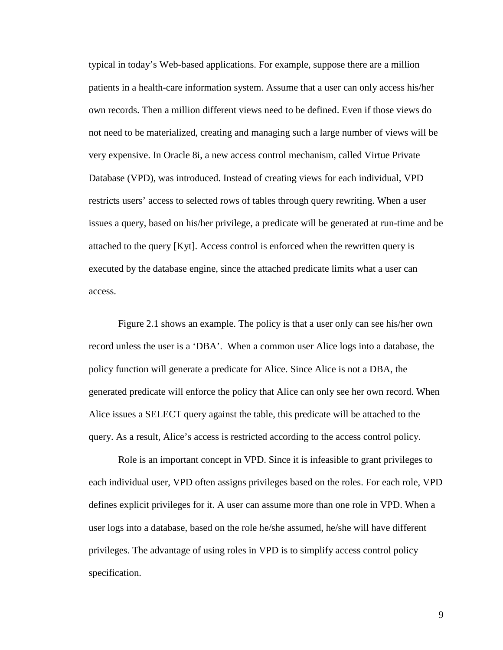typical in today's Web-based applications. For example, suppose there are a million patients in a health-care information system. Assume that a user can only access his/her own records. Then a million different views need to be defined. Even if those views do not need to be materialized, creating and managing such a large number of views will be very expensive. In Oracle 8i, a new access control mechanism, called Virtue Private Database (VPD), was introduced. Instead of creating views for each individual, VPD restricts users' access to selected rows of tables through query rewriting. When a user issues a query, based on his/her privilege, a predicate will be generated at run-time and be attached to the query [Kyt]. Access control is enforced when the rewritten query is executed by the database engine, since the attached predicate limits what a user can access.

Figure 2.1 shows an example. The policy is that a user only can see his/her own record unless the user is a 'DBA'. When a common user Alice logs into a database, the policy function will generate a predicate for Alice. Since Alice is not a DBA, the generated predicate will enforce the policy that Alice can only see her own record. When Alice issues a SELECT query against the table, this predicate will be attached to the query. As a result, Alice's access is restricted according to the access control policy.

Role is an important concept in VPD. Since it is infeasible to grant privileges to each individual user, VPD often assigns privileges based on the roles. For each role, VPD defines explicit privileges for it. A user can assume more than one role in VPD. When a user logs into a database, based on the role he/she assumed, he/she will have different privileges. The advantage of using roles in VPD is to simplify access control policy specification.

9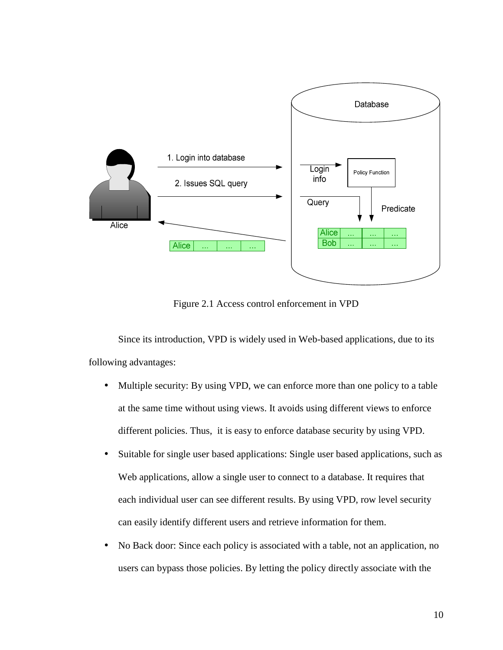

Figure 2.1 Access control enforcement in VPD

Since its introduction, VPD is widely used in Web-based applications, due to its following advantages:

- Multiple security: By using VPD, we can enforce more than one policy to a table at the same time without using views. It avoids using different views to enforce different policies. Thus, it is easy to enforce database security by using VPD.
- Suitable for single user based applications: Single user based applications, such as Web applications, allow a single user to connect to a database. It requires that each individual user can see different results. By using VPD, row level security can easily identify different users and retrieve information for them.
- No Back door: Since each policy is associated with a table, not an application, no users can bypass those policies. By letting the policy directly associate with the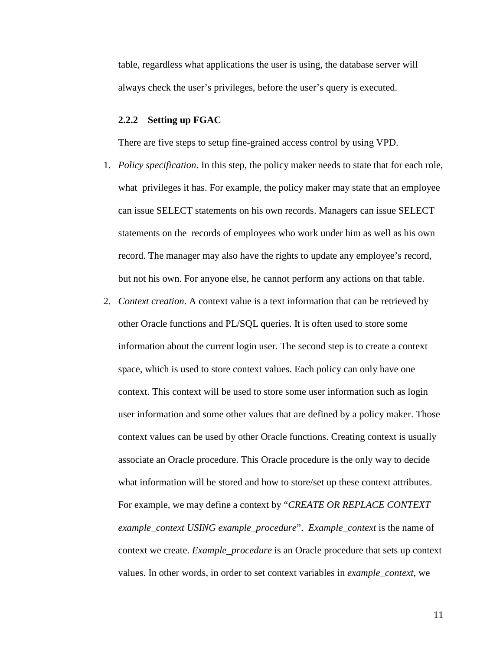table, regardless what applications the user is using, the database server will always check the user's privileges, before the user's query is executed.

#### **2.2.2 Setting up FGAC**

There are five steps to setup fine-grained access control by using VPD.

- 1. *Policy specification*. In this step, the policy maker needs to state that for each role, what privileges it has. For example, the policy maker may state that an employee can issue SELECT statements on his own records. Managers can issue SELECT statements on the records of employees who work under him as well as his own record. The manager may also have the rights to update any employee's record, but not his own. For anyone else, he cannot perform any actions on that table.
- 2. *Context creation*. A context value is a text information that can be retrieved by other Oracle functions and PL/SQL queries. It is often used to store some information about the current login user. The second step is to create a context space, which is used to store context values. Each policy can only have one context. This context will be used to store some user information such as login user information and some other values that are defined by a policy maker. Those context values can be used by other Oracle functions. Creating context is usually associate an Oracle procedure. This Oracle procedure is the only way to decide what information will be stored and how to store/set up these context attributes. For example, we may define a context by "*CREATE OR REPLACE CONTEXT example\_context USING example\_procedure*". *Example\_context* is the name of context we create. *Example\_procedure* is an Oracle procedure that sets up context values. In other words, in order to set context variables in *example\_context*, we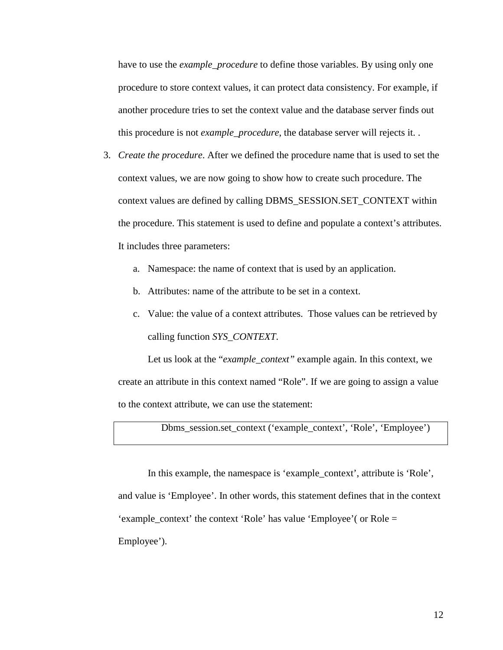have to use the *example\_procedure* to define those variables. By using only one procedure to store context values, it can protect data consistency. For example, if another procedure tries to set the context value and the database server finds out this procedure is not *example\_procedure*, the database server will rejects it. .

- 3. *Create the procedure*. After we defined the procedure name that is used to set the context values, we are now going to show how to create such procedure. The context values are defined by calling DBMS\_SESSION.SET\_CONTEXT within the procedure. This statement is used to define and populate a context's attributes. It includes three parameters:
	- a. Namespace: the name of context that is used by an application.
	- b. Attributes: name of the attribute to be set in a context.
	- c. Value: the value of a context attributes. Those values can be retrieved by calling function *SYS\_CONTEXT*.

Let us look at the "*example\_context"* example again. In this context, we create an attribute in this context named "Role". If we are going to assign a value to the context attribute, we can use the statement:

Dbms\_session.set\_context ('example\_context', 'Role', 'Employee')

In this example, the namespace is 'example\_context', attribute is 'Role', and value is 'Employee'. In other words, this statement defines that in the context 'example\_context' the context 'Role' has value 'Employee'( or Role = Employee').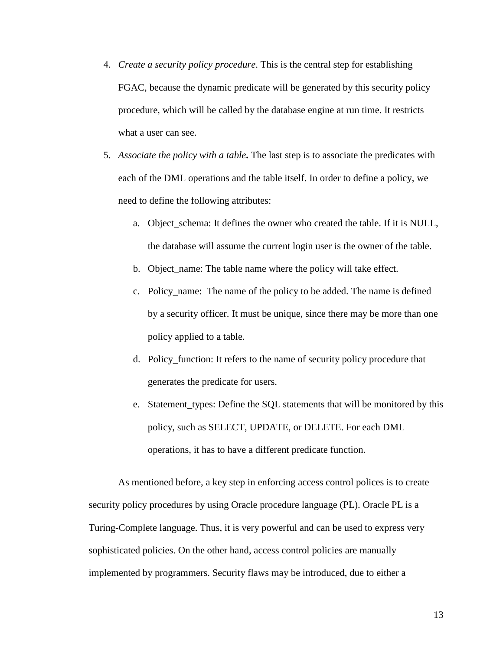- 4. *Create a security policy procedure*. This is the central step for establishing FGAC, because the dynamic predicate will be generated by this security policy procedure, which will be called by the database engine at run time. It restricts what a user can see.
- 5. *Associate the policy with a table***.** The last step is to associate the predicates with each of the DML operations and the table itself. In order to define a policy, we need to define the following attributes:
	- a. Object\_schema: It defines the owner who created the table. If it is NULL, the database will assume the current login user is the owner of the table.
	- b. Object\_name: The table name where the policy will take effect.
	- c. Policy\_name: The name of the policy to be added. The name is defined by a security officer. It must be unique, since there may be more than one policy applied to a table.
	- d. Policy\_function: It refers to the name of security policy procedure that generates the predicate for users.
	- e. Statement\_types: Define the SQL statements that will be monitored by this policy, such as SELECT, UPDATE, or DELETE. For each DML operations, it has to have a different predicate function.

As mentioned before, a key step in enforcing access control polices is to create security policy procedures by using Oracle procedure language (PL). Oracle PL is a Turing-Complete language. Thus, it is very powerful and can be used to express very sophisticated policies. On the other hand, access control policies are manually implemented by programmers. Security flaws may be introduced, due to either a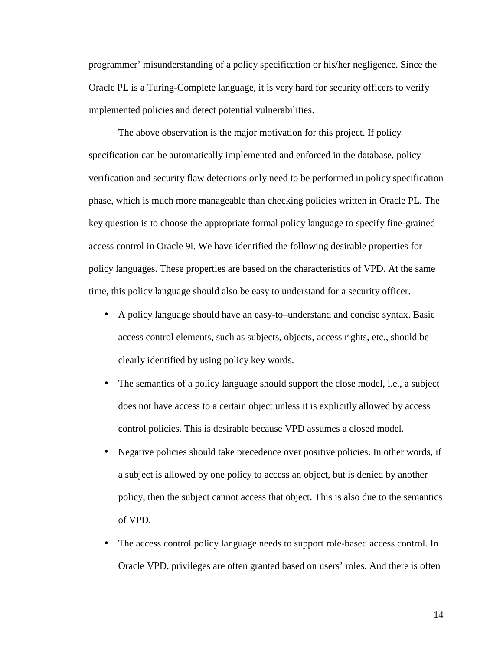programmer' misunderstanding of a policy specification or his/her negligence. Since the Oracle PL is a Turing-Complete language, it is very hard for security officers to verify implemented policies and detect potential vulnerabilities.

The above observation is the major motivation for this project. If policy specification can be automatically implemented and enforced in the database, policy verification and security flaw detections only need to be performed in policy specification phase, which is much more manageable than checking policies written in Oracle PL. The key question is to choose the appropriate formal policy language to specify fine-grained access control in Oracle 9i. We have identified the following desirable properties for policy languages. These properties are based on the characteristics of VPD. At the same time, this policy language should also be easy to understand for a security officer.

- A policy language should have an easy-to–understand and concise syntax. Basic access control elements, such as subjects, objects, access rights, etc., should be clearly identified by using policy key words.
- The semantics of a policy language should support the close model, i.e., a subject does not have access to a certain object unless it is explicitly allowed by access control policies. This is desirable because VPD assumes a closed model.
- Negative policies should take precedence over positive policies. In other words, if a subject is allowed by one policy to access an object, but is denied by another policy, then the subject cannot access that object. This is also due to the semantics of VPD.
- The access control policy language needs to support role-based access control. In Oracle VPD, privileges are often granted based on users' roles. And there is often

14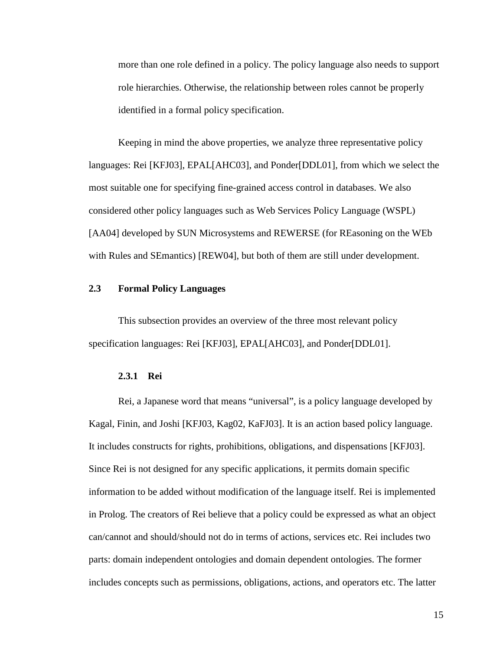more than one role defined in a policy. The policy language also needs to support role hierarchies. Otherwise, the relationship between roles cannot be properly identified in a formal policy specification.

Keeping in mind the above properties, we analyze three representative policy languages: Rei [KFJ03], EPAL[AHC03], and Ponder[DDL01], from which we select the most suitable one for specifying fine-grained access control in databases. We also considered other policy languages such as Web Services Policy Language (WSPL) [AA04] developed by SUN Microsystems and REWERSE (for REasoning on the WEb with Rules and SEmantics) [REW04], but both of them are still under development.

#### **2.3 Formal Policy Languages**

This subsection provides an overview of the three most relevant policy specification languages: Rei [KFJ03], EPAL[AHC03], and Ponder[DDL01].

#### **2.3.1 Rei**

Rei, a Japanese word that means "universal", is a policy language developed by Kagal, Finin, and Joshi [KFJ03, Kag02, KaFJ03]. It is an action based policy language. It includes constructs for rights, prohibitions, obligations, and dispensations [KFJ03]. Since Rei is not designed for any specific applications, it permits domain specific information to be added without modification of the language itself. Rei is implemented in Prolog. The creators of Rei believe that a policy could be expressed as what an object can/cannot and should/should not do in terms of actions, services etc. Rei includes two parts: domain independent ontologies and domain dependent ontologies. The former includes concepts such as permissions, obligations, actions, and operators etc. The latter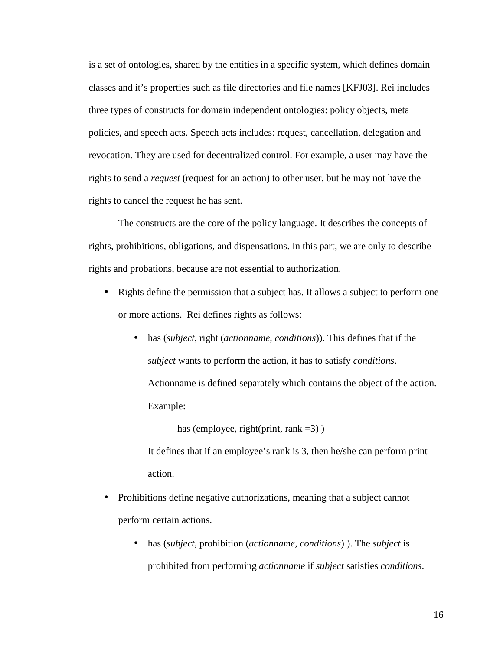is a set of ontologies, shared by the entities in a specific system, which defines domain classes and it's properties such as file directories and file names [KFJ03]. Rei includes three types of constructs for domain independent ontologies: policy objects, meta policies, and speech acts. Speech acts includes: request, cancellation, delegation and revocation. They are used for decentralized control. For example, a user may have the rights to send a *request* (request for an action) to other user, but he may not have the rights to cancel the request he has sent.

The constructs are the core of the policy language. It describes the concepts of rights, prohibitions, obligations, and dispensations. In this part, we are only to describe rights and probations, because are not essential to authorization.

- Rights define the permission that a subject has. It allows a subject to perform one or more actions. Rei defines rights as follows:
	- has (*subject*, right (*actionname*, *conditions*)). This defines that if the *subject* wants to perform the action, it has to satisfy *conditions*. Actionname is defined separately which contains the object of the action. Example:

has (employee, right(print, rank  $=3$ ))

It defines that if an employee's rank is 3, then he/she can perform print action.

- Prohibitions define negative authorizations, meaning that a subject cannot perform certain actions.
	- has (*subject*, prohibition (*actionname*, *conditions*) ). The *subject* is prohibited from performing *actionname* if *subject* satisfies *conditions*.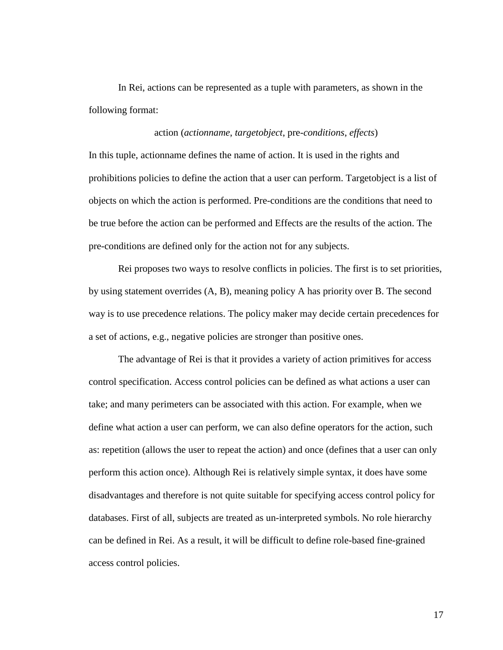In Rei, actions can be represented as a tuple with parameters, as shown in the following format:

### action (*actionname*, *targetobject*, pre-*conditions*, *effects*)

In this tuple, actionname defines the name of action. It is used in the rights and prohibitions policies to define the action that a user can perform. Targetobject is a list of objects on which the action is performed. Pre-conditions are the conditions that need to be true before the action can be performed and Effects are the results of the action. The pre-conditions are defined only for the action not for any subjects.

Rei proposes two ways to resolve conflicts in policies. The first is to set priorities, by using statement overrides (A, B), meaning policy A has priority over B. The second way is to use precedence relations. The policy maker may decide certain precedences for a set of actions, e.g., negative policies are stronger than positive ones.

The advantage of Rei is that it provides a variety of action primitives for access control specification. Access control policies can be defined as what actions a user can take; and many perimeters can be associated with this action. For example, when we define what action a user can perform, we can also define operators for the action, such as: repetition (allows the user to repeat the action) and once (defines that a user can only perform this action once). Although Rei is relatively simple syntax, it does have some disadvantages and therefore is not quite suitable for specifying access control policy for databases. First of all, subjects are treated as un-interpreted symbols. No role hierarchy can be defined in Rei. As a result, it will be difficult to define role-based fine-grained access control policies.

17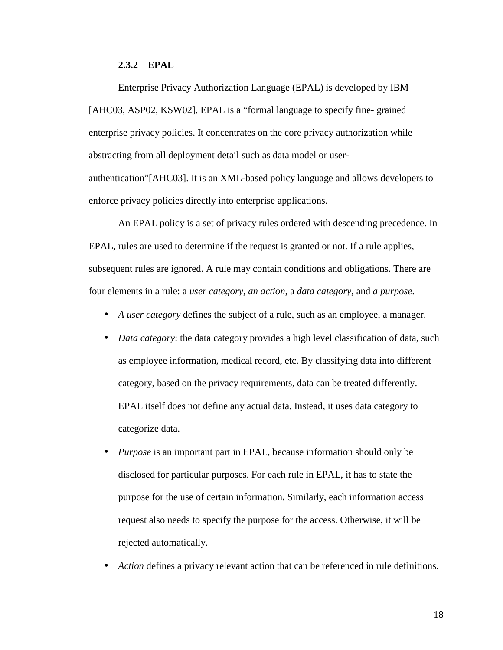## **2.3.2 EPAL**

Enterprise Privacy Authorization Language (EPAL) is developed by IBM [AHC03, ASP02, KSW02]. EPAL is a "formal language to specify fine- grained enterprise privacy policies. It concentrates on the core privacy authorization while abstracting from all deployment detail such as data model or userauthentication"[AHC03]. It is an XML-based policy language and allows developers to enforce privacy policies directly into enterprise applications.

An EPAL policy is a set of privacy rules ordered with descending precedence. In EPAL, rules are used to determine if the request is granted or not. If a rule applies, subsequent rules are ignored. A rule may contain conditions and obligations. There are four elements in a rule: a *user category*, *an action*, a *data category*, and *a purpose*.

- *A user category* defines the subject of a rule, such as an employee, a manager.
- *Data category*: the data category provides a high level classification of data, such as employee information, medical record, etc. By classifying data into different category, based on the privacy requirements, data can be treated differently. EPAL itself does not define any actual data. Instead, it uses data category to categorize data.
- *Purpose* is an important part in EPAL, because information should only be disclosed for particular purposes. For each rule in EPAL, it has to state the purpose for the use of certain information**.** Similarly, each information access request also needs to specify the purpose for the access. Otherwise, it will be rejected automatically.
- *Action* defines a privacy relevant action that can be referenced in rule definitions.

18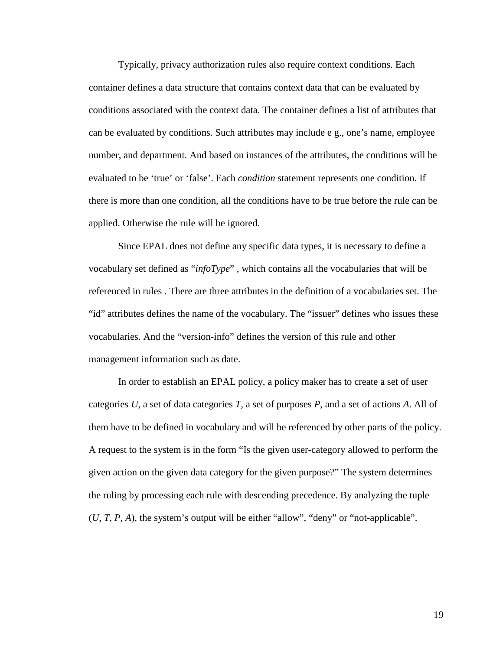Typically, privacy authorization rules also require context conditions. Each container defines a data structure that contains context data that can be evaluated by conditions associated with the context data. The container defines a list of attributes that can be evaluated by conditions. Such attributes may include e g., one's name, employee number, and department. And based on instances of the attributes, the conditions will be evaluated to be 'true' or 'false'. Each *condition* statement represents one condition. If there is more than one condition, all the conditions have to be true before the rule can be applied. Otherwise the rule will be ignored.

Since EPAL does not define any specific data types, it is necessary to define a vocabulary set defined as "*infoType*" , which contains all the vocabularies that will be referenced in rules . There are three attributes in the definition of a vocabularies set. The "id" attributes defines the name of the vocabulary. The "issuer" defines who issues these vocabularies. And the "version-info" defines the version of this rule and other management information such as date.

In order to establish an EPAL policy, a policy maker has to create a set of user categories *U*, a set of data categories *T*, a set of purposes *P*, and a set of actions *A*. All of them have to be defined in vocabulary and will be referenced by other parts of the policy. A request to the system is in the form "Is the given user-category allowed to perform the given action on the given data category for the given purpose?" The system determines the ruling by processing each rule with descending precedence. By analyzing the tuple  $(U, T, P, A)$ , the system's output will be either "allow", "deny" or "not-applicable".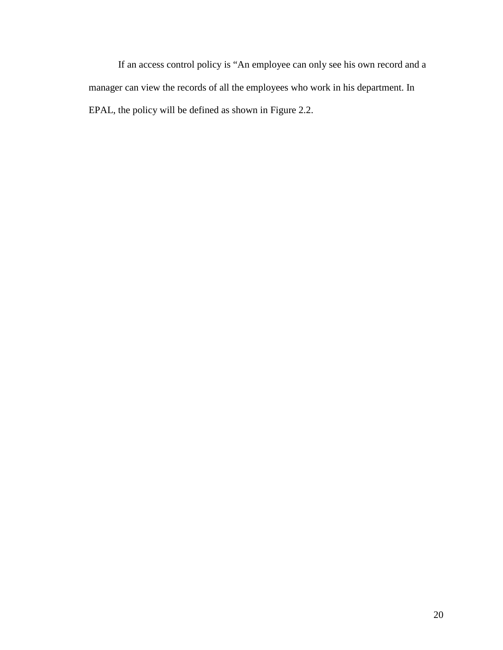If an access control policy is "An employee can only see his own record and a manager can view the records of all the employees who work in his department. In EPAL, the policy will be defined as shown in Figure 2.2.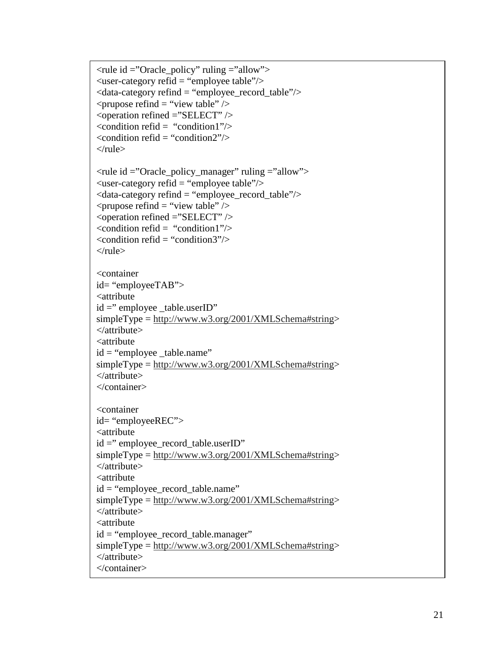```
<rule id ="Oracle_policy" ruling ="allow"> 
\langleuser-category refid = "employee table"/>\alpha <data-category refind = "employee_record_table"\alpha\langle prupose refind = "view table" \langle \rangle\leq operation refined ="SELECT" \geq\alpha <condition refid = "condition1"\alpha\alpha <condition refid = "condition2"/>
\langlerule><rule id ="Oracle_policy_manager" ruling ="allow"> 
\langleuser-category refid = "employee table"/>\langle data-category refind = "employee record table"/>\langle prupose refind = "view table" \langle \rangle<operation refined ="SELECT" /> 
\alpha <condition refid = "condition1"\beta\alpha <condition refid = "condition3"/>
\langlerule\rangle<container 
id= "employeeTAB"> 
<attribute 
id = "employee table.userID"simpleType = http://www.w3.org/2001/XMLSchema#string> 
</attribute> 
<attribute 
id = "employee_table.name"simpleType = <a href="http://www.w3.org/2001/XMLSchema#string">http://www.w3.org/2001/XMLSchema#string</a></attribute> 
</container> 
<container 
id= "employeeREC"> 
<attribute 
id = "employee record table.userID"simpleType = http://www.w3.org/2001/XMLSchema#string> 
</attribute> 
<attribute 
id = "employee_record_table.name" 
simpleType = http://www.w3.org/2001/XMLSchema#string> 
</attribute> 
<attribute 
id = "employee record table.manager"simpleType = http://www.w3.org/2001/XMLSchema#string> 
</attribute> 
</container>
```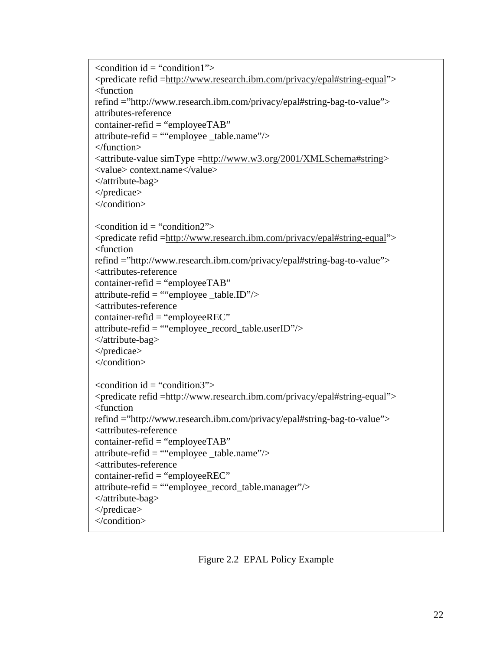```
\alpha < condition id = "condition1">
<predicate refid =http://www.research.ibm.com/privacy/epal#string-equal"> 
<function 
refind ="http://www.research.ibm.com/privacy/epal#string-bag-to-value"> 
attributes-reference 
\text{contact-refid} = \text{``employee} \text{TAB''}attribute-refid = ""employee table.name"\ge</function> 
<attribute-value simType =http://www.w3.org/2001/XMLSchema#string> 
<value> context.name</value> 
</attribute-bag> 
</predicae> 
</condition> 
\alpha <condition id = "condition2">
<predicate refid =http://www.research.ibm.com/privacy/epal#string-equal"> 
<function 
refind ="http://www.research.ibm.com/privacy/epal#string-bag-to-value"> 
<attributes-reference 
container-refid = "employeeTAB"attribute-refid = ""employee _table.ID"/>
<attributes-reference 
container-refid = "employeeREC"attribute-refid = ""employee_record_table.userID"/> 
</attribute-bag> 
</predicae> 
</condition> 
\alpha <condition id = "condition3">
<predicate refid =http://www.research.ibm.com/privacy/epal#string-equal"> 
<function 
refind ="http://www.research.ibm.com/privacy/epal#string-bag-to-value"> 
<attributes-reference 
container-refid = "employeeTAB"attribute\text{-refid} = \text{``'employee\_table.name''} ><attributes-reference 
container-refid = "employeeREC"attribute-refid = ""employee_record_table.manager"/> 
</attribute-bag> 
</predicae> 
</condition>
```
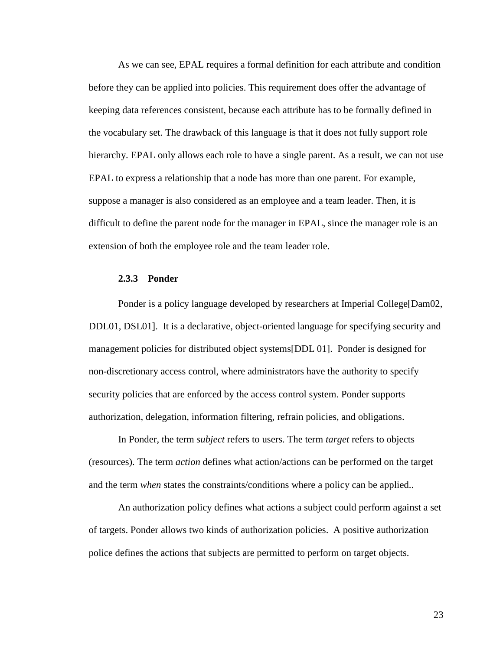As we can see, EPAL requires a formal definition for each attribute and condition before they can be applied into policies. This requirement does offer the advantage of keeping data references consistent, because each attribute has to be formally defined in the vocabulary set. The drawback of this language is that it does not fully support role hierarchy. EPAL only allows each role to have a single parent. As a result, we can not use EPAL to express a relationship that a node has more than one parent. For example, suppose a manager is also considered as an employee and a team leader. Then, it is difficult to define the parent node for the manager in EPAL, since the manager role is an extension of both the employee role and the team leader role.

#### **2.3.3 Ponder**

Ponder is a policy language developed by researchers at Imperial College[Dam02, DDL01, DSL01]. It is a declarative, object-oriented language for specifying security and management policies for distributed object systems[DDL 01]. Ponder is designed for non-discretionary access control, where administrators have the authority to specify security policies that are enforced by the access control system. Ponder supports authorization, delegation, information filtering, refrain policies, and obligations.

In Ponder, the term *subject* refers to users. The term *target* refers to objects (resources). The term *action* defines what action/actions can be performed on the target and the term *when* states the constraints/conditions where a policy can be applied..

An authorization policy defines what actions a subject could perform against a set of targets. Ponder allows two kinds of authorization policies. A positive authorization police defines the actions that subjects are permitted to perform on target objects.

23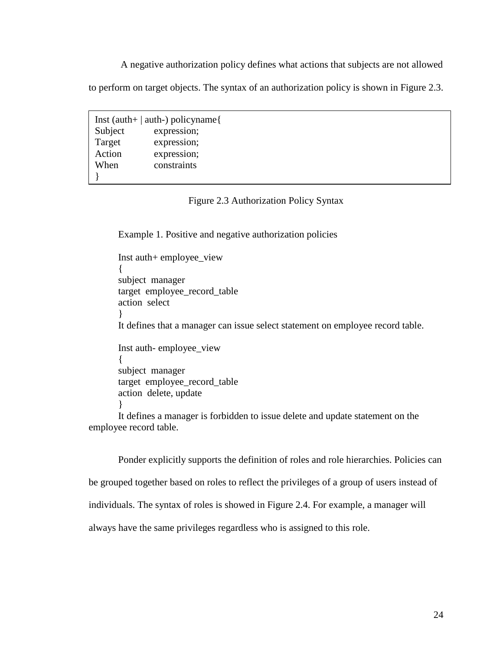A negative authorization policy defines what actions that subjects are not allowed

to perform on target objects. The syntax of an authorization policy is shown in Figure 2.3.

Subject<br>Target Inst (auth+ | auth-) policyname{ expression; expression; Action expression; When constraints }

### Figure 2.3 Authorization Policy Syntax

Example 1. Positive and negative authorization policies

Inst auth+ employee\_view { subject manager target employee\_record\_table action select } It defines that a manager can issue select statement on employee record table. Inst auth- employee\_view { subject manager target employee\_record\_table action delete, update } It defines a manager is forbidden to issue delete and update statement on the employee record table.

Ponder explicitly supports the definition of roles and role hierarchies. Policies can be grouped together based on roles to reflect the privileges of a group of users instead of individuals. The syntax of roles is showed in Figure 2.4. For example, a manager will always have the same privileges regardless who is assigned to this role.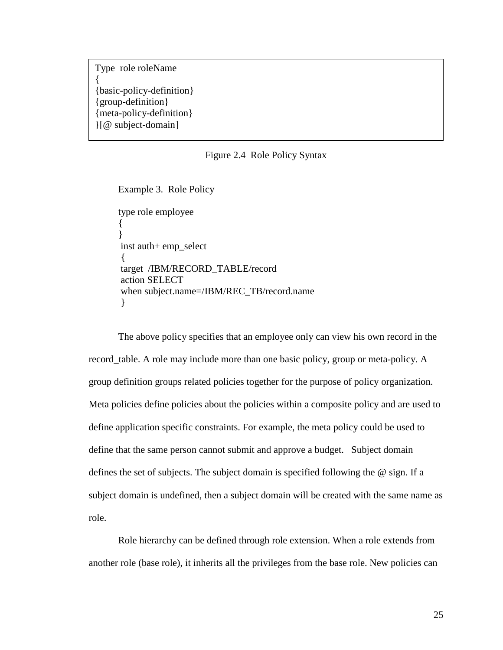Type role roleName { {basic-policy-definition} {group-definition} {meta-policy-definition} }[@ subject-domain]

#### Figure 2.4 Role Policy Syntax

```
Example 3. Role Policy 
type role employee 
{ 
} 
 inst auth+ emp_select 
 { 
 target /IBM/RECORD_TABLE/record 
 action SELECT 
 when subject.name=/IBM/REC_TB/record.name 
 }
```
The above policy specifies that an employee only can view his own record in the record\_table. A role may include more than one basic policy, group or meta-policy. A group definition groups related policies together for the purpose of policy organization. Meta policies define policies about the policies within a composite policy and are used to define application specific constraints. For example, the meta policy could be used to define that the same person cannot submit and approve a budget. Subject domain defines the set of subjects. The subject domain is specified following the @ sign. If a subject domain is undefined, then a subject domain will be created with the same name as role.

Role hierarchy can be defined through role extension. When a role extends from another role (base role), it inherits all the privileges from the base role. New policies can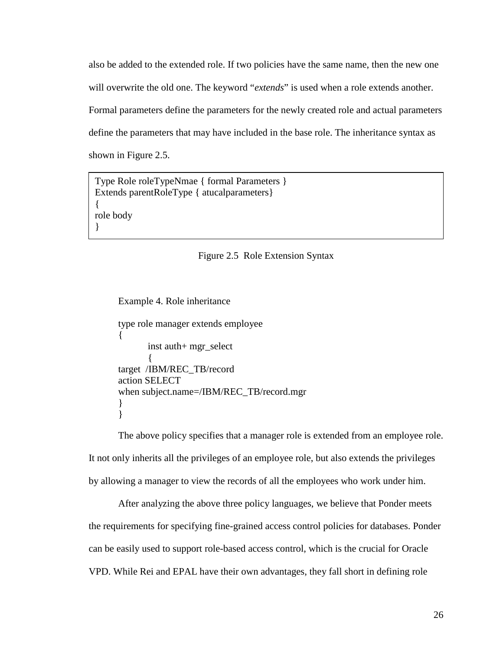also be added to the extended role. If two policies have the same name, then the new one will overwrite the old one. The keyword "*extends*" is used when a role extends another. Formal parameters define the parameters for the newly created role and actual parameters define the parameters that may have included in the base role. The inheritance syntax as shown in Figure 2.5.

Type Role roleTypeNmae { formal Parameters } Extends parentRoleType { atucalparameters} { role body }

#### Figure 2.5 Role Extension Syntax

Example 4. Role inheritance type role manager extends employee { inst auth+ mgr\_select  $\left\{\begin{array}{c} \end{array}\right\}$ target /IBM/REC\_TB/record action SELECT when subject.name=/IBM/REC\_TB/record.mgr } }

The above policy specifies that a manager role is extended from an employee role. It not only inherits all the privileges of an employee role, but also extends the privileges by allowing a manager to view the records of all the employees who work under him.

After analyzing the above three policy languages, we believe that Ponder meets the requirements for specifying fine-grained access control policies for databases. Ponder can be easily used to support role-based access control, which is the crucial for Oracle VPD. While Rei and EPAL have their own advantages, they fall short in defining role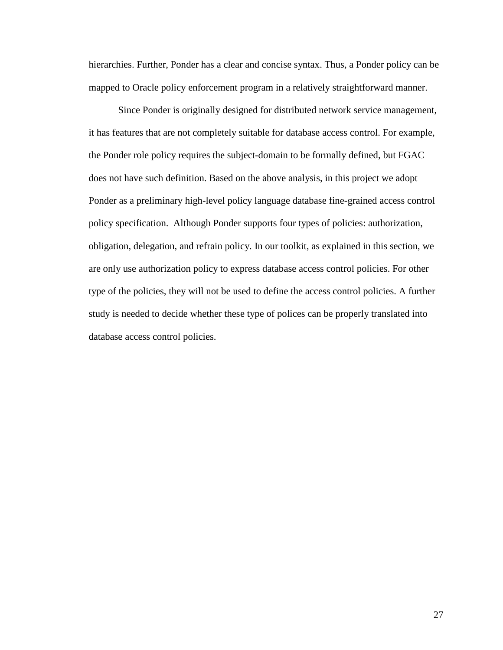hierarchies. Further, Ponder has a clear and concise syntax. Thus, a Ponder policy can be mapped to Oracle policy enforcement program in a relatively straightforward manner.

Since Ponder is originally designed for distributed network service management, it has features that are not completely suitable for database access control. For example, the Ponder role policy requires the subject-domain to be formally defined, but FGAC does not have such definition. Based on the above analysis, in this project we adopt Ponder as a preliminary high-level policy language database fine-grained access control policy specification. Although Ponder supports four types of policies: authorization, obligation, delegation, and refrain policy. In our toolkit, as explained in this section, we are only use authorization policy to express database access control policies. For other type of the policies, they will not be used to define the access control policies. A further study is needed to decide whether these type of polices can be properly translated into database access control policies.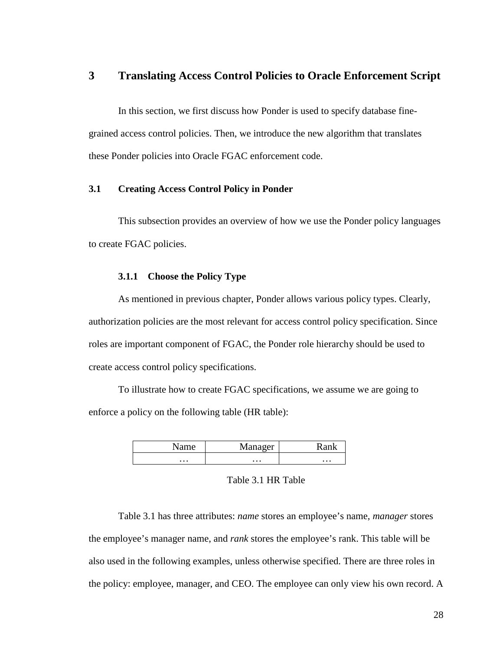# **3 Translating Access Control Policies to Oracle Enforcement Script**

In this section, we first discuss how Ponder is used to specify database finegrained access control policies. Then, we introduce the new algorithm that translates these Ponder policies into Oracle FGAC enforcement code.

### **3.1 Creating Access Control Policy in Ponder**

This subsection provides an overview of how we use the Ponder policy languages to create FGAC policies.

### **3.1.1 Choose the Policy Type**

As mentioned in previous chapter, Ponder allows various policy types. Clearly, authorization policies are the most relevant for access control policy specification. Since roles are important component of FGAC, the Ponder role hierarchy should be used to create access control policy specifications.

To illustrate how to create FGAC specifications, we assume we are going to enforce a policy on the following table (HR table):

|          | <b>A</b> <i>I</i><br>0.00x |          |
|----------|----------------------------|----------|
| $\cdots$ | $\cdots$                   | $\cdots$ |

### Table 3.1 HR Table

Table 3.1 has three attributes: *name* stores an employee's name, *manager* stores the employee's manager name, and *rank* stores the employee's rank. This table will be also used in the following examples, unless otherwise specified. There are three roles in the policy: employee, manager, and CEO. The employee can only view his own record. A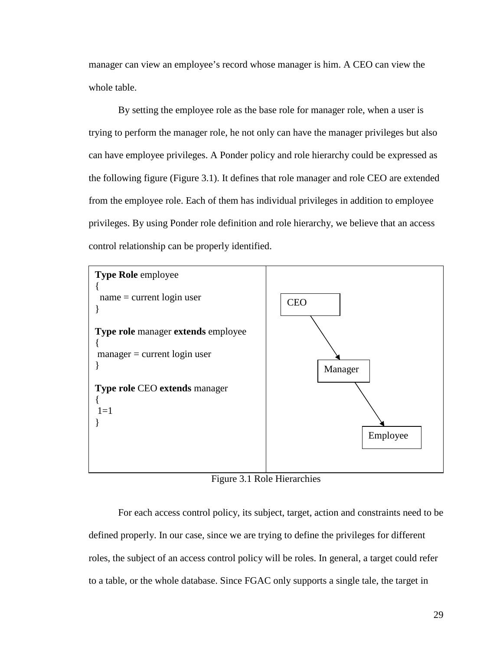manager can view an employee's record whose manager is him. A CEO can view the whole table.

By setting the employee role as the base role for manager role, when a user is trying to perform the manager role, he not only can have the manager privileges but also can have employee privileges. A Ponder policy and role hierarchy could be expressed as the following figure (Figure 3.1). It defines that role manager and role CEO are extended from the employee role. Each of them has individual privileges in addition to employee privileges. By using Ponder role definition and role hierarchy, we believe that an access control relationship can be properly identified.



Figure 3.1 Role Hierarchies

For each access control policy, its subject, target, action and constraints need to be defined properly. In our case, since we are trying to define the privileges for different roles, the subject of an access control policy will be roles. In general, a target could refer to a table, or the whole database. Since FGAC only supports a single tale, the target in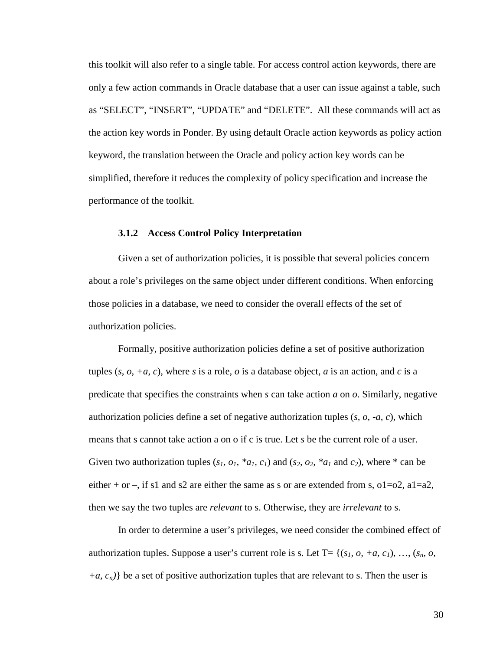this toolkit will also refer to a single table. For access control action keywords, there are only a few action commands in Oracle database that a user can issue against a table, such as "SELECT", "INSERT", "UPDATE" and "DELETE". All these commands will act as the action key words in Ponder. By using default Oracle action keywords as policy action keyword, the translation between the Oracle and policy action key words can be simplified, therefore it reduces the complexity of policy specification and increase the performance of the toolkit.

### **3.1.2 Access Control Policy Interpretation**

Given a set of authorization policies, it is possible that several policies concern about a role's privileges on the same object under different conditions. When enforcing those policies in a database, we need to consider the overall effects of the set of authorization policies.

Formally, positive authorization policies define a set of positive authorization tuples  $(s, o, +a, c)$ , where *s* is a role, *o* is a database object, *a* is an action, and *c* is a predicate that specifies the constraints when *s* can take action *a* on *o*. Similarly, negative authorization policies define a set of negative authorization tuples (*s, o, -a, c*), which means that s cannot take action a on o if c is true. Let *s* be the current role of a user. Given two authorization tuples  $(s_1, o_1, *a_1, c_1)$  and  $(s_2, o_2, *a_1$  and  $c_2)$ , where  $*$  can be either + or –, if s1 and s2 are either the same as s or are extended from s,  $o1=o2$ ,  $a1=a2$ , then we say the two tuples are *relevant* to s. Otherwise, they are *irrelevant* to s.

In order to determine a user's privileges, we need consider the combined effect of authorization tuples. Suppose a user's current role is s. Let T= { $(s<sub>1</sub>, o, +a, c<sub>1</sub>), ..., (s<sub>n</sub>, o,$  $+a, c_n$ } be a set of positive authorization tuples that are relevant to s. Then the user is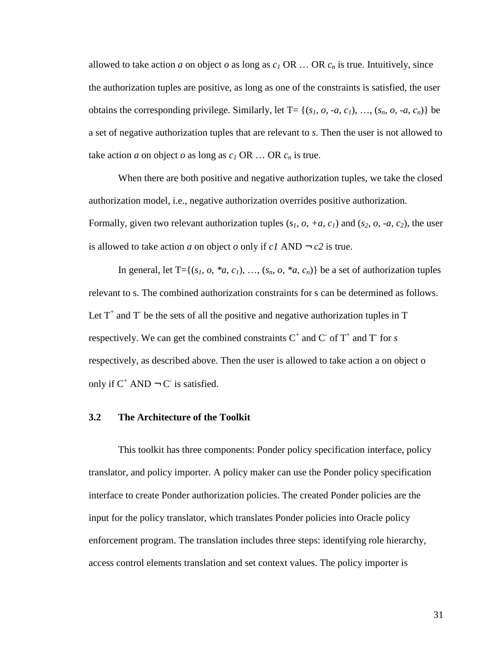allowed to take action *a* on object *o* as long as  $c_I$  OR ... OR  $c_n$  is true. Intuitively, since the authorization tuples are positive, as long as one of the constraints is satisfied, the user obtains the corresponding privilege. Similarly, let  $T = \{(s_1, o_1, -a_1, c_1), \ldots, (s_n, o_1, -a_1, c_n)\}\$ a set of negative authorization tuples that are relevant to *s*. Then the user is not allowed to take action *a* on object *o* as long as  $c_I$  OR ... OR  $c_n$  is true.

When there are both positive and negative authorization tuples, we take the closed authorization model, i.e., negative authorization overrides positive authorization. Formally, given two relevant authorization tuples  $(s<sub>1</sub>, o, +a, c<sub>1</sub>)$  and  $(s<sub>2</sub>, o, -a, c<sub>2</sub>)$ , the user is allowed to take action *a* on object *o* only if  $c1$  AND  $\rightarrow$  *c2* is true.

In general, let  $T = \{(s_1, o, *a, c_1), \ldots, (s_n, o, *a, c_n)\}\)$  be a set of authorization tuples relevant to s. The combined authorization constraints for s can be determined as follows. Let  $T^+$  and  $T^-$  be the sets of all the positive and negative authorization tuples in  $T^$ respectively. We can get the combined constraints  $C^+$  and  $C^-$  of  $T^+$  and  $T^-$  for *s* respectively, as described above. Then the user is allowed to take action a on object o only if  $C^+$  AND  $\neg C$  is satisfied.

#### **3.2 The Architecture of the Toolkit**

This toolkit has three components: Ponder policy specification interface, policy translator, and policy importer. A policy maker can use the Ponder policy specification interface to create Ponder authorization policies. The created Ponder policies are the input for the policy translator, which translates Ponder policies into Oracle policy enforcement program. The translation includes three steps: identifying role hierarchy, access control elements translation and set context values. The policy importer is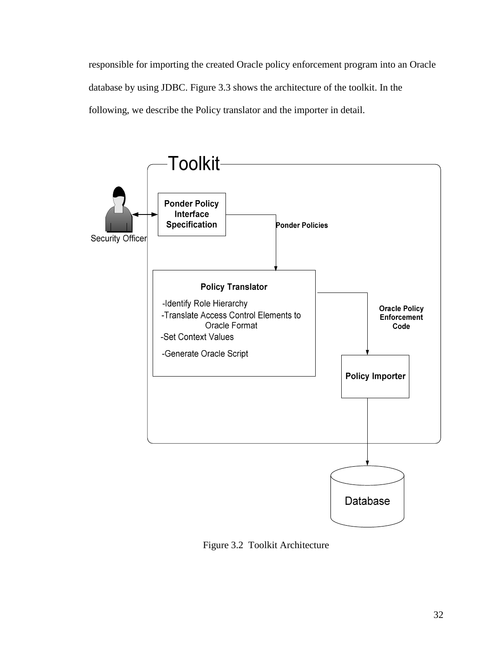responsible for importing the created Oracle policy enforcement program into an Oracle database by using JDBC. Figure 3.3 shows the architecture of the toolkit. In the following, we describe the Policy translator and the importer in detail.



Figure 3.2 Toolkit Architecture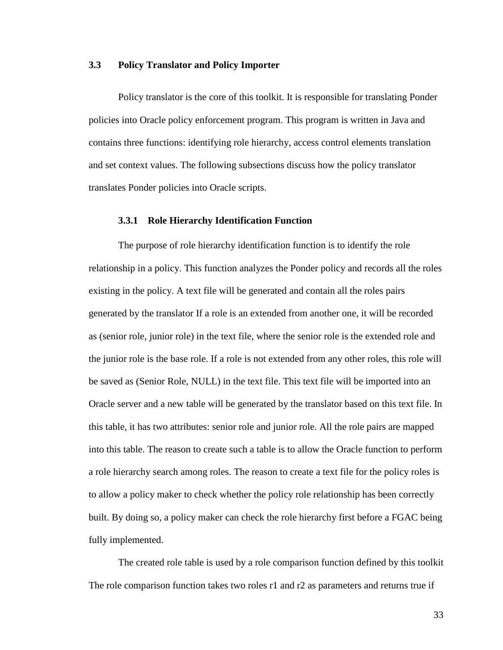### **3.3 Policy Translator and Policy Importer**

Policy translator is the core of this toolkit. It is responsible for translating Ponder policies into Oracle policy enforcement program. This program is written in Java and contains three functions: identifying role hierarchy, access control elements translation and set context values. The following subsections discuss how the policy translator translates Ponder policies into Oracle scripts.

### **3.3.1 Role Hierarchy Identification Function**

The purpose of role hierarchy identification function is to identify the role relationship in a policy. This function analyzes the Ponder policy and records all the roles existing in the policy. A text file will be generated and contain all the roles pairs generated by the translator If a role is an extended from another one, it will be recorded as (senior role, junior role) in the text file, where the senior role is the extended role and the junior role is the base role. If a role is not extended from any other roles, this role will be saved as (Senior Role, NULL) in the text file. This text file will be imported into an Oracle server and a new table will be generated by the translator based on this text file. In this table, it has two attributes: senior role and junior role. All the role pairs are mapped into this table. The reason to create such a table is to allow the Oracle function to perform a role hierarchy search among roles. The reason to create a text file for the policy roles is to allow a policy maker to check whether the policy role relationship has been correctly built. By doing so, a policy maker can check the role hierarchy first before a FGAC being fully implemented.

The created role table is used by a role comparison function defined by this toolkit The role comparison function takes two roles r1 and r2 as parameters and returns true if

33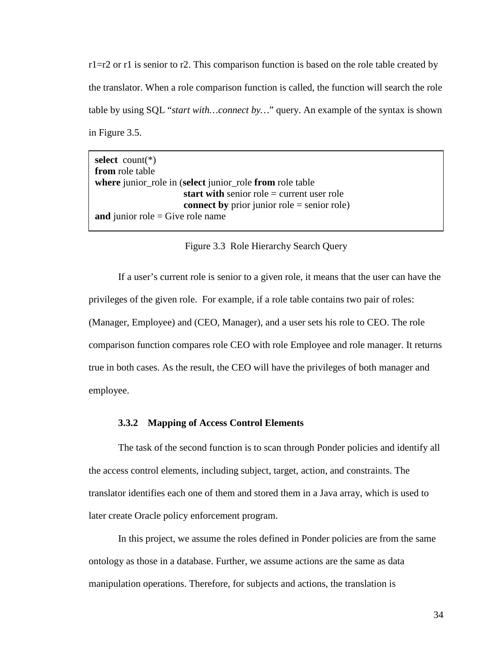r1=r2 or r1 is senior to r2. This comparison function is based on the role table created by the translator. When a role comparison function is called, the function will search the role table by using SQL "*start with…connect by…*" query. An example of the syntax is shown in Figure 3.5.

| select count( $*)$                                       |
|----------------------------------------------------------|
| from role table                                          |
| where junior_role in (select junior_role from role table |
| start with senior role $=$ current user role             |
| <b>connect by</b> prior junior role = senior role)       |
| and junior role = Give role name                         |

Figure 3.3 Role Hierarchy Search Query

If a user's current role is senior to a given role, it means that the user can have the privileges of the given role. For example, if a role table contains two pair of roles: (Manager, Employee) and (CEO, Manager), and a user sets his role to CEO. The role comparison function compares role CEO with role Employee and role manager. It returns true in both cases. As the result, the CEO will have the privileges of both manager and employee.

#### **3.3.2 Mapping of Access Control Elements**

The task of the second function is to scan through Ponder policies and identify all the access control elements, including subject, target, action, and constraints. The translator identifies each one of them and stored them in a Java array, which is used to later create Oracle policy enforcement program.

In this project, we assume the roles defined in Ponder policies are from the same ontology as those in a database. Further, we assume actions are the same as data manipulation operations. Therefore, for subjects and actions, the translation is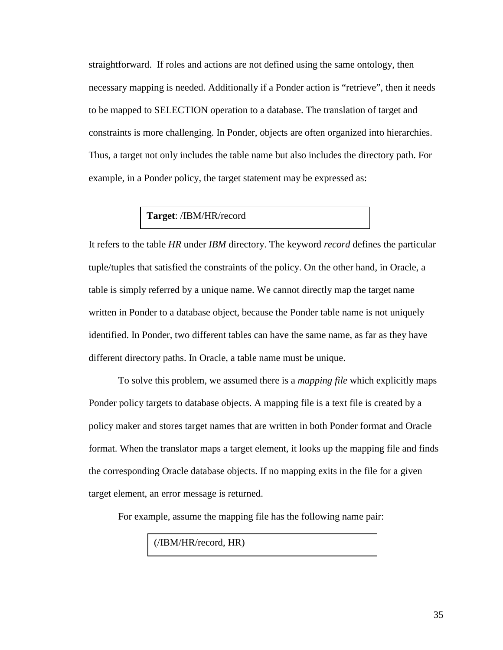straightforward. If roles and actions are not defined using the same ontology, then necessary mapping is needed. Additionally if a Ponder action is "retrieve", then it needs to be mapped to SELECTION operation to a database. The translation of target and constraints is more challenging. In Ponder, objects are often organized into hierarchies. Thus, a target not only includes the table name but also includes the directory path. For example, in a Ponder policy, the target statement may be expressed as:

## **Target**: /IBM/HR/record

It refers to the table *HR* under *IBM* directory. The keyword *record* defines the particular tuple/tuples that satisfied the constraints of the policy. On the other hand, in Oracle, a table is simply referred by a unique name. We cannot directly map the target name written in Ponder to a database object, because the Ponder table name is not uniquely identified. In Ponder, two different tables can have the same name, as far as they have different directory paths. In Oracle, a table name must be unique.

To solve this problem, we assumed there is a *mapping file* which explicitly maps Ponder policy targets to database objects. A mapping file is a text file is created by a policy maker and stores target names that are written in both Ponder format and Oracle format. When the translator maps a target element, it looks up the mapping file and finds the corresponding Oracle database objects. If no mapping exits in the file for a given target element, an error message is returned.

For example, assume the mapping file has the following name pair:

(/IBM/HR/record, HR)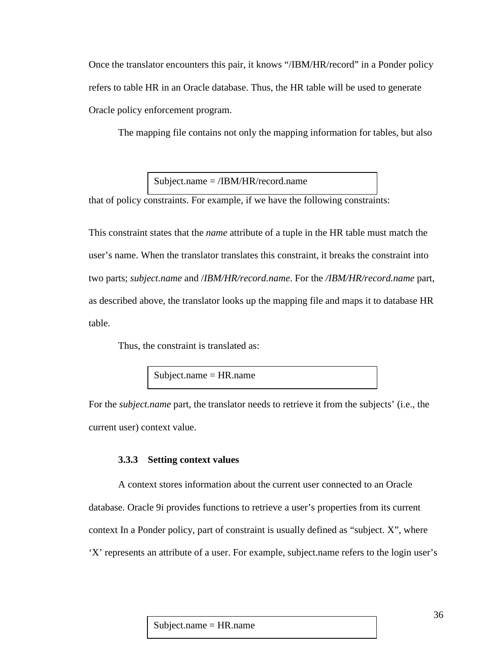Once the translator encounters this pair, it knows "/IBM/HR/record" in a Ponder policy refers to table HR in an Oracle database. Thus, the HR table will be used to generate Oracle policy enforcement program.

The mapping file contains not only the mapping information for tables, but also

Subject.name = /IBM/HR/record.name

that of policy constraints. For example, if we have the following constraints:

This constraint states that the *name* attribute of a tuple in the HR table must match the user's name. When the translator translates this constraint, it breaks the constraint into two parts; *subject.name* and /*IBM/HR/record.name*. For the */IBM/HR/record.name* part, as described above, the translator looks up the mapping file and maps it to database HR table.

Thus, the constraint is translated as:

Subject.name = HR.name

For the *subject.name* part, the translator needs to retrieve it from the subjects' (i.e., the current user) context value.

### **3.3.3 Setting context values**

A context stores information about the current user connected to an Oracle database. Oracle 9i provides functions to retrieve a user's properties from its current context In a Ponder policy, part of constraint is usually defined as "subject. X", where 'X' represents an attribute of a user. For example, subject.name refers to the login user's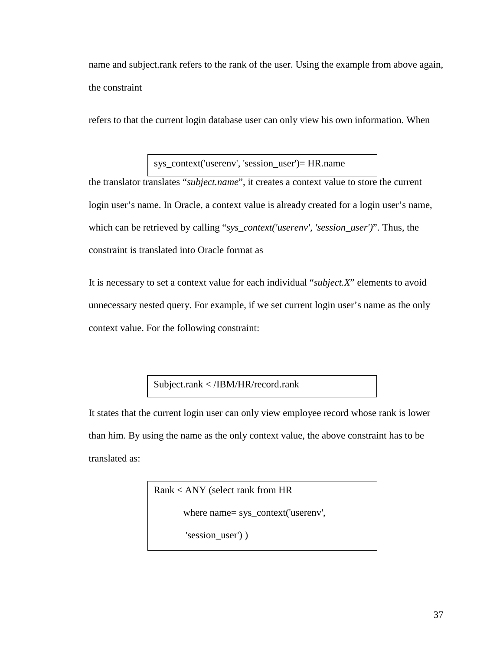name and subject.rank refers to the rank of the user. Using the example from above again, the constraint

refers to that the current login database user can only view his own information. When

sys\_context('userenv', 'session\_user')= HR.name

the translator translates "*subject.name*", it creates a context value to store the current login user's name. In Oracle, a context value is already created for a login user's name, which can be retrieved by calling "*sys\_context('userenv', 'session\_user')*". Thus, the constraint is translated into Oracle format as

It is necessary to set a context value for each individual "*subject.X*" elements to avoid unnecessary nested query. For example, if we set current login user's name as the only context value. For the following constraint:

Subject.rank < /IBM/HR/record.rank

It states that the current login user can only view employee record whose rank is lower than him. By using the name as the only context value, the above constraint has to be translated as:

> Rank < ANY (select rank from HR where name= sys\_context('userenv', 'session\_user') )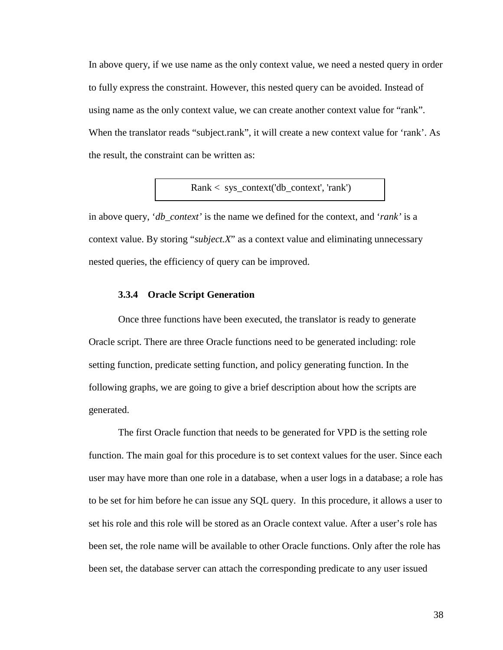In above query, if we use name as the only context value, we need a nested query in order to fully express the constraint. However, this nested query can be avoided. Instead of using name as the only context value, we can create another context value for "rank". When the translator reads "subject.rank", it will create a new context value for 'rank'. As the result, the constraint can be written as:

Rank < sys\_context('db\_context', 'rank')

in above query, '*db\_context'* is the name we defined for the context, and '*rank'* is a context value. By storing "*subject.X*" as a context value and eliminating unnecessary nested queries, the efficiency of query can be improved.

### **3.3.4 Oracle Script Generation**

Once three functions have been executed, the translator is ready to generate Oracle script. There are three Oracle functions need to be generated including: role setting function, predicate setting function, and policy generating function. In the following graphs, we are going to give a brief description about how the scripts are generated.

The first Oracle function that needs to be generated for VPD is the setting role function. The main goal for this procedure is to set context values for the user. Since each user may have more than one role in a database, when a user logs in a database; a role has to be set for him before he can issue any SQL query. In this procedure, it allows a user to set his role and this role will be stored as an Oracle context value. After a user's role has been set, the role name will be available to other Oracle functions. Only after the role has been set, the database server can attach the corresponding predicate to any user issued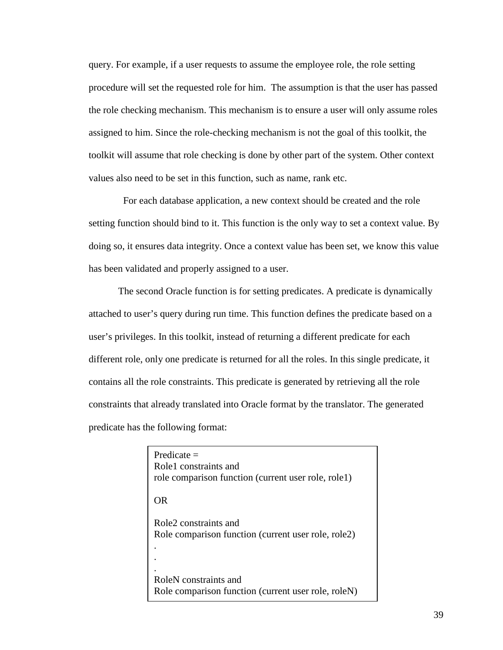query. For example, if a user requests to assume the employee role, the role setting procedure will set the requested role for him. The assumption is that the user has passed the role checking mechanism. This mechanism is to ensure a user will only assume roles assigned to him. Since the role-checking mechanism is not the goal of this toolkit, the toolkit will assume that role checking is done by other part of the system. Other context values also need to be set in this function, such as name, rank etc.

 For each database application, a new context should be created and the role setting function should bind to it. This function is the only way to set a context value. By doing so, it ensures data integrity. Once a context value has been set, we know this value has been validated and properly assigned to a user.

The second Oracle function is for setting predicates. A predicate is dynamically attached to user's query during run time. This function defines the predicate based on a user's privileges. In this toolkit, instead of returning a different predicate for each different role, only one predicate is returned for all the roles. In this single predicate, it contains all the role constraints. This predicate is generated by retrieving all the role constraints that already translated into Oracle format by the translator. The generated predicate has the following format:

| $Predicte =$                                        |
|-----------------------------------------------------|
| Role1 constraints and                               |
| role comparison function (current user role, role1) |
|                                                     |
| OR                                                  |
|                                                     |
| Role <sub>2</sub> constraints and                   |
| Role comparison function (current user role, role2) |
|                                                     |
|                                                     |
|                                                     |
| RoleN constraints and                               |
|                                                     |
| Role comparison function (current user role, roleN) |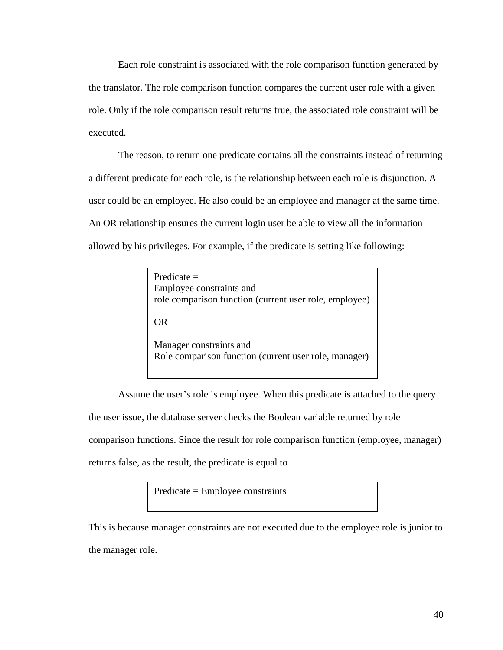Each role constraint is associated with the role comparison function generated by the translator. The role comparison function compares the current user role with a given role. Only if the role comparison result returns true, the associated role constraint will be executed.

The reason, to return one predicate contains all the constraints instead of returning a different predicate for each role, is the relationship between each role is disjunction. A user could be an employee. He also could be an employee and manager at the same time. An OR relationship ensures the current login user be able to view all the information allowed by his privileges. For example, if the predicate is setting like following:

| Predicate $=$<br>Employee constraints and<br>role comparison function (current user role, employee) |
|-----------------------------------------------------------------------------------------------------|
| OR.                                                                                                 |
| Manager constraints and<br>Role comparison function (current user role, manager)                    |

Assume the user's role is employee. When this predicate is attached to the query the user issue, the database server checks the Boolean variable returned by role comparison functions. Since the result for role comparison function (employee, manager) returns false, as the result, the predicate is equal to

Predicate = Employee constraints

This is because manager constraints are not executed due to the employee role is junior to the manager role.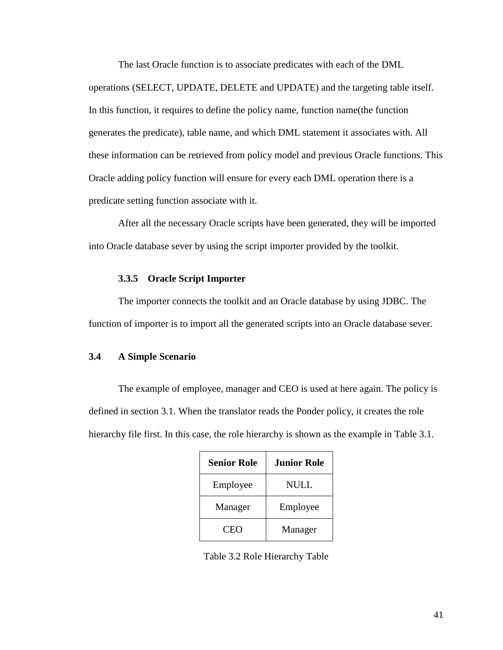The last Oracle function is to associate predicates with each of the DML operations (SELECT, UPDATE, DELETE and UPDATE) and the targeting table itself. In this function, it requires to define the policy name, function name(the function generates the predicate), table name, and which DML statement it associates with. All these information can be retrieved from policy model and previous Oracle functions. This Oracle adding policy function will ensure for every each DML operation there is a predicate setting function associate with it.

After all the necessary Oracle scripts have been generated, they will be imported into Oracle database sever by using the script importer provided by the toolkit.

### **3.3.5 Oracle Script Importer**

The importer connects the toolkit and an Oracle database by using JDBC. The function of importer is to import all the generated scripts into an Oracle database sever.

### **3.4 A Simple Scenario**

The example of employee, manager and CEO is used at here again. The policy is defined in section 3.1. When the translator reads the Ponder policy, it creates the role hierarchy file first. In this case, the role hierarchy is shown as the example in Table 3.1.

| <b>Senior Role</b> | <b>Junior Role</b> |
|--------------------|--------------------|
| Employee           | NULL               |
| Manager            | Employee           |
| CEO                | Manager            |

Table 3.2 Role Hierarchy Table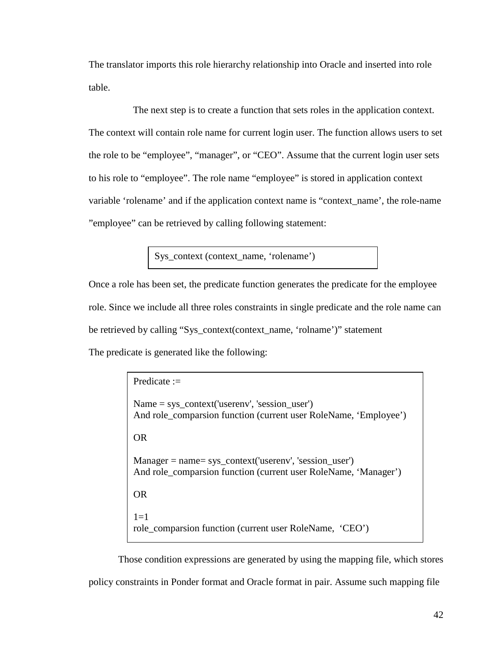The translator imports this role hierarchy relationship into Oracle and inserted into role table.

 The next step is to create a function that sets roles in the application context. The context will contain role name for current login user. The function allows users to set the role to be "employee", "manager", or "CEO". Assume that the current login user sets to his role to "employee". The role name "employee" is stored in application context variable 'rolename' and if the application context name is "context\_name', the role-name "employee" can be retrieved by calling following statement:

Sys\_context (context\_name, 'rolename')

Once a role has been set, the predicate function generates the predicate for the employee role. Since we include all three roles constraints in single predicate and the role name can be retrieved by calling "Sys\_context(context\_name, 'rolname')" statement The predicate is generated like the following:

| Predicate $:=$                                                                                                                |
|-------------------------------------------------------------------------------------------------------------------------------|
| $Name = sys\_context('userenv', 'session_user')$<br>And role_comparsion function (current user RoleName, 'Employee')          |
| OR.                                                                                                                           |
| $Manager = name = sys\_context('userenv', 'session_user')$<br>And role_comparsion function (current user RoleName, 'Manager') |
| OR.                                                                                                                           |
| $1 = 1$<br>role_comparsion function (current user RoleName, 'CEO')                                                            |

Those condition expressions are generated by using the mapping file, which stores policy constraints in Ponder format and Oracle format in pair. Assume such mapping file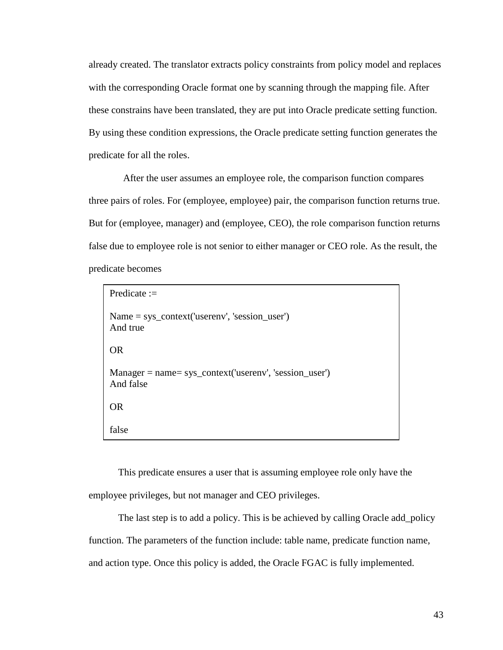already created. The translator extracts policy constraints from policy model and replaces with the corresponding Oracle format one by scanning through the mapping file. After these constrains have been translated, they are put into Oracle predicate setting function. By using these condition expressions, the Oracle predicate setting function generates the predicate for all the roles.

 After the user assumes an employee role, the comparison function compares three pairs of roles. For (employee, employee) pair, the comparison function returns true. But for (employee, manager) and (employee, CEO), the role comparison function returns false due to employee role is not senior to either manager or CEO role. As the result, the predicate becomes

```
Predicate := 
Name = sys context('userenv', 'session user')
And true 
OR 
Manager = name= sys_context('userenv', 'session_user') 
And false 
OR 
false
```
This predicate ensures a user that is assuming employee role only have the employee privileges, but not manager and CEO privileges.

The last step is to add a policy. This is be achieved by calling Oracle add\_policy function. The parameters of the function include: table name, predicate function name, and action type. Once this policy is added, the Oracle FGAC is fully implemented.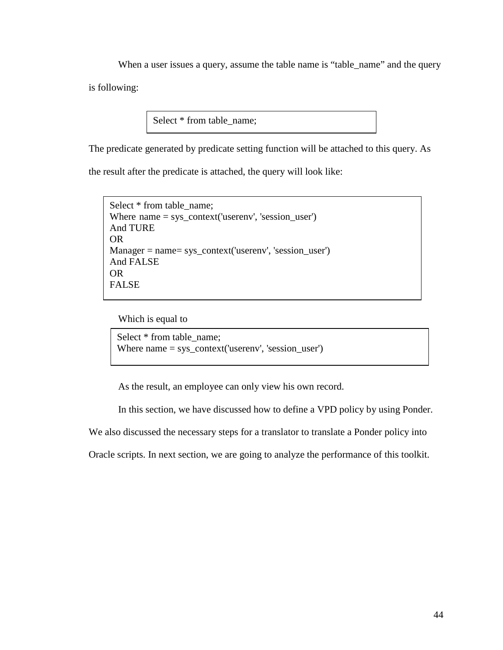When a user issues a query, assume the table name is "table\_name" and the query is following:

Select  $*$  from table name;

The predicate generated by predicate setting function will be attached to this query. As

the result after the predicate is attached, the query will look like:

```
Select * from table name;
Where name = sys_context('userenv', 'session_user') 
And TURE 
OR 
Manager = name= sys_context('userenv', 'session_user') 
And FALSE 
OR 
FALSE
```
Which is equal to

```
Select * from table name;
Where name = sys_context('userenv', 'session_user')
```
As the result, an employee can only view his own record.

In this section, we have discussed how to define a VPD policy by using Ponder.

We also discussed the necessary steps for a translator to translate a Ponder policy into

Oracle scripts. In next section, we are going to analyze the performance of this toolkit.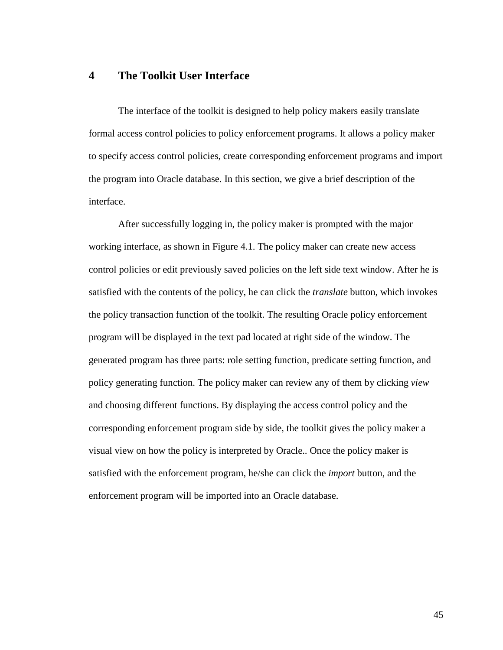## **4 The Toolkit User Interface**

The interface of the toolkit is designed to help policy makers easily translate formal access control policies to policy enforcement programs. It allows a policy maker to specify access control policies, create corresponding enforcement programs and import the program into Oracle database. In this section, we give a brief description of the interface.

After successfully logging in, the policy maker is prompted with the major working interface, as shown in Figure 4.1. The policy maker can create new access control policies or edit previously saved policies on the left side text window. After he is satisfied with the contents of the policy, he can click the *translate* button, which invokes the policy transaction function of the toolkit. The resulting Oracle policy enforcement program will be displayed in the text pad located at right side of the window. The generated program has three parts: role setting function, predicate setting function, and policy generating function. The policy maker can review any of them by clicking *view* and choosing different functions. By displaying the access control policy and the corresponding enforcement program side by side, the toolkit gives the policy maker a visual view on how the policy is interpreted by Oracle.. Once the policy maker is satisfied with the enforcement program, he/she can click the *import* button, and the enforcement program will be imported into an Oracle database.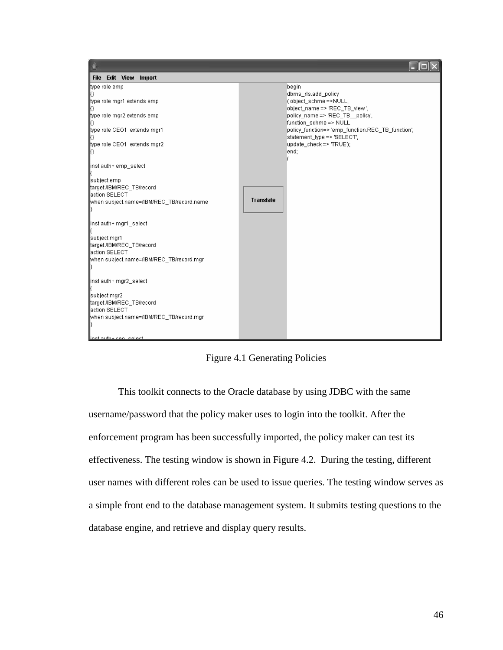

Figure 4.1 Generating Policies

This toolkit connects to the Oracle database by using JDBC with the same username/password that the policy maker uses to login into the toolkit. After the enforcement program has been successfully imported, the policy maker can test its effectiveness. The testing window is shown in Figure 4.2. During the testing, different user names with different roles can be used to issue queries. The testing window serves as a simple front end to the database management system. It submits testing questions to the database engine, and retrieve and display query results.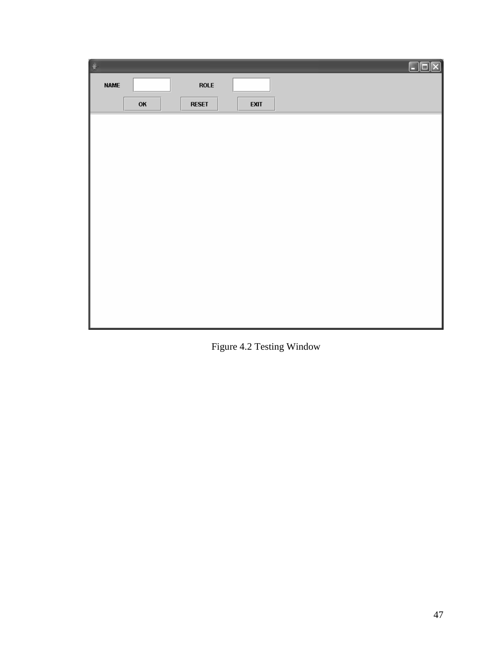| 鲁           |    |              |             |  | Ō<br>₹ |
|-------------|----|--------------|-------------|--|--------|
| <b>NAME</b> |    | <b>ROLE</b>  |             |  |        |
|             | OK | <b>RESET</b> | <b>EXIT</b> |  |        |
|             |    |              |             |  |        |
|             |    |              |             |  |        |
|             |    |              |             |  |        |
|             |    |              |             |  |        |
|             |    |              |             |  |        |
|             |    |              |             |  |        |
|             |    |              |             |  |        |
|             |    |              |             |  |        |
|             |    |              |             |  |        |
|             |    |              |             |  |        |
|             |    |              |             |  |        |
|             |    |              |             |  |        |
|             |    |              |             |  |        |

Figure 4.2 Testing Window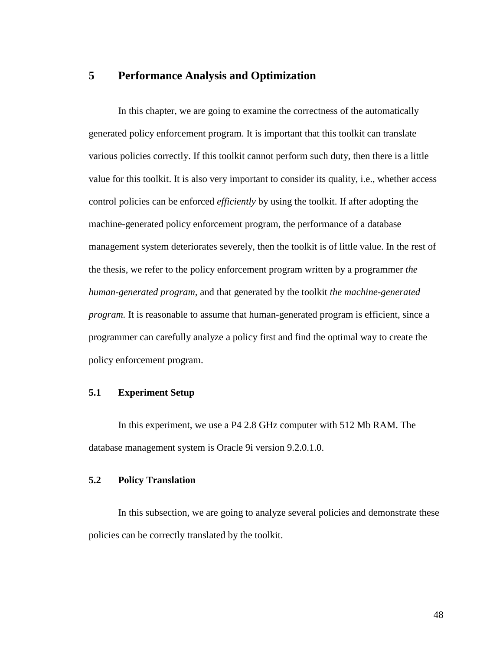## **5 Performance Analysis and Optimization**

In this chapter, we are going to examine the correctness of the automatically generated policy enforcement program. It is important that this toolkit can translate various policies correctly. If this toolkit cannot perform such duty, then there is a little value for this toolkit. It is also very important to consider its quality, i.e., whether access control policies can be enforced *efficiently* by using the toolkit. If after adopting the machine-generated policy enforcement program, the performance of a database management system deteriorates severely, then the toolkit is of little value. In the rest of the thesis, we refer to the policy enforcement program written by a programmer *the human-generated program*, and that generated by the toolkit *the machine-generated program*. It is reasonable to assume that human-generated program is efficient, since a programmer can carefully analyze a policy first and find the optimal way to create the policy enforcement program.

### **5.1 Experiment Setup**

In this experiment, we use a P4 2.8 GHz computer with 512 Mb RAM. The database management system is Oracle 9i version 9.2.0.1.0.

## **5.2 Policy Translation**

In this subsection, we are going to analyze several policies and demonstrate these policies can be correctly translated by the toolkit.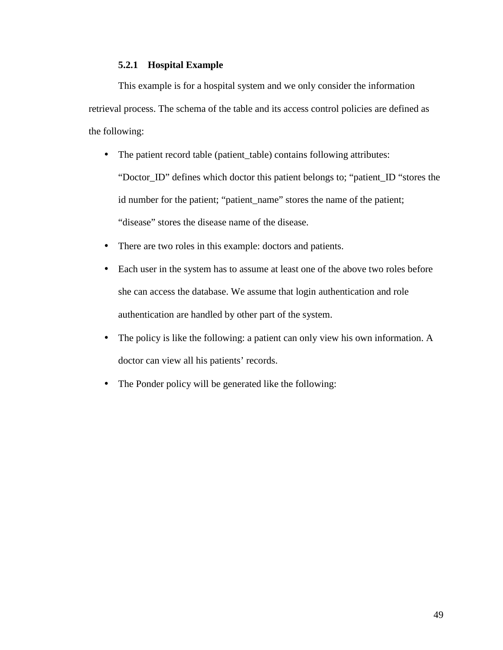## **5.2.1 Hospital Example**

This example is for a hospital system and we only consider the information retrieval process. The schema of the table and its access control policies are defined as the following:

- The patient record table (patient\_table) contains following attributes: "Doctor\_ID" defines which doctor this patient belongs to; "patient\_ID "stores the id number for the patient; "patient\_name" stores the name of the patient; "disease" stores the disease name of the disease.
- There are two roles in this example: doctors and patients.
- Each user in the system has to assume at least one of the above two roles before she can access the database. We assume that login authentication and role authentication are handled by other part of the system.
- The policy is like the following: a patient can only view his own information. A doctor can view all his patients' records.
- The Ponder policy will be generated like the following: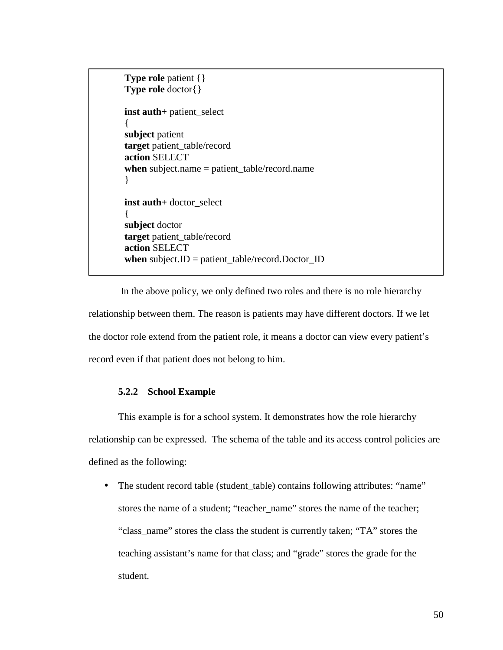```
Type role patient {} 
Type role doctor{} 
inst auth+ patient_select 
{ 
subject patient 
target patient table/record
action SELECT 
when subject.name = patient_table/record.name 
} 
inst auth+ doctor_select 
{ 
subject doctor 
target patient_table/record 
action SELECT 
when subject.ID = patient_table/record.Doctor_ID
```
 In the above policy, we only defined two roles and there is no role hierarchy relationship between them. The reason is patients may have different doctors. If we let the doctor role extend from the patient role, it means a doctor can view every patient's record even if that patient does not belong to him.

### **5.2.2 School Example**

This example is for a school system. It demonstrates how the role hierarchy relationship can be expressed. The schema of the table and its access control policies are defined as the following:

• The student record table (student\_table) contains following attributes: "name" stores the name of a student; "teacher\_name" stores the name of the teacher; "class\_name" stores the class the student is currently taken; "TA" stores the teaching assistant's name for that class; and "grade" stores the grade for the student.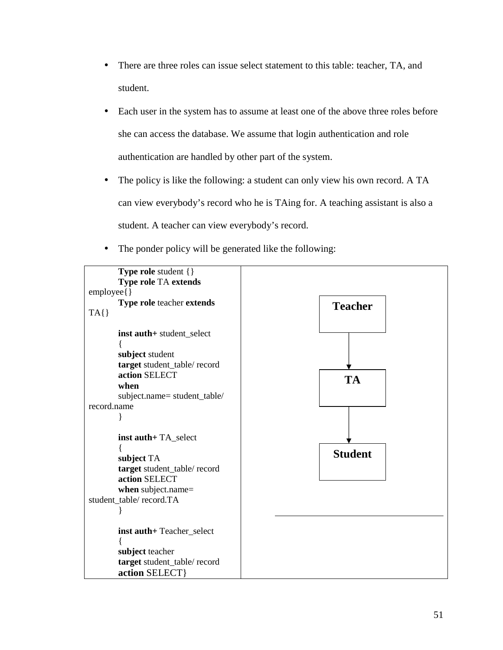- There are three roles can issue select statement to this table: teacher, TA, and student.
- Each user in the system has to assume at least one of the above three roles before she can access the database. We assume that login authentication and role authentication are handled by other part of the system.
- The policy is like the following: a student can only view his own record. A TA can view everybody's record who he is TAing for. A teaching assistant is also a student. A teacher can view everybody's record.
- The ponder policy will be generated like the following:

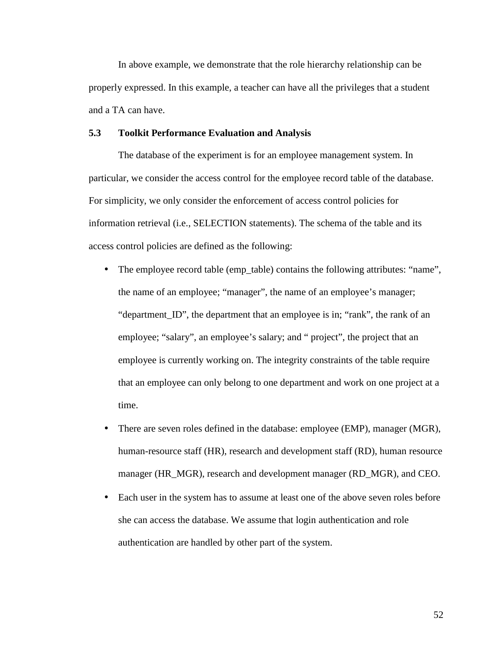In above example, we demonstrate that the role hierarchy relationship can be properly expressed. In this example, a teacher can have all the privileges that a student and a TA can have.

#### **5.3 Toolkit Performance Evaluation and Analysis**

The database of the experiment is for an employee management system. In particular, we consider the access control for the employee record table of the database. For simplicity, we only consider the enforcement of access control policies for information retrieval (i.e., SELECTION statements). The schema of the table and its access control policies are defined as the following:

- The employee record table (emp\_table) contains the following attributes: "name", the name of an employee; "manager", the name of an employee's manager; "department\_ID", the department that an employee is in; "rank", the rank of an employee; "salary", an employee's salary; and " project", the project that an employee is currently working on. The integrity constraints of the table require that an employee can only belong to one department and work on one project at a time.
- There are seven roles defined in the database: employee (EMP), manager (MGR), human-resource staff (HR), research and development staff (RD), human resource manager (HR\_MGR), research and development manager (RD\_MGR), and CEO.
- Each user in the system has to assume at least one of the above seven roles before she can access the database. We assume that login authentication and role authentication are handled by other part of the system.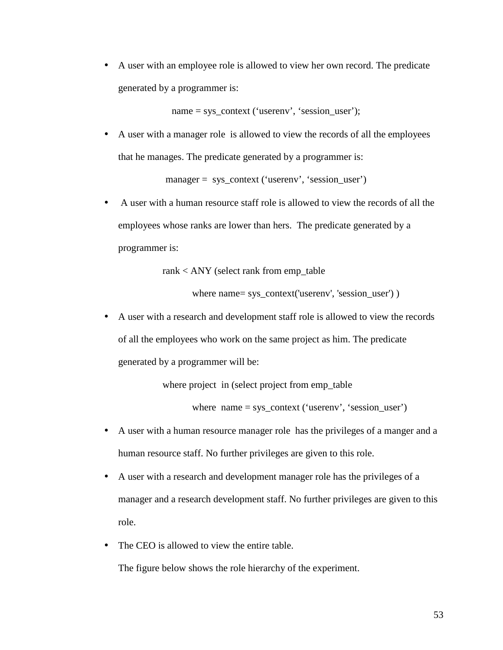• A user with an employee role is allowed to view her own record. The predicate generated by a programmer is:

name = sys\_context ('userenv', 'session\_user');

• A user with a manager role is allowed to view the records of all the employees that he manages. The predicate generated by a programmer is:

manager = sys\_context ('userenv', 'session\_user')

• A user with a human resource staff role is allowed to view the records of all the employees whose ranks are lower than hers. The predicate generated by a programmer is:

rank < ANY (select rank from emp\_table

where name= sys\_context('userenv', 'session\_user') )

• A user with a research and development staff role is allowed to view the records of all the employees who work on the same project as him. The predicate generated by a programmer will be:

where project in (select project from emp\_table

where name = sys\_context ('userenv', 'session\_user')

- A user with a human resource manager role has the privileges of a manger and a human resource staff. No further privileges are given to this role.
- A user with a research and development manager role has the privileges of a manager and a research development staff. No further privileges are given to this role.
- The CEO is allowed to view the entire table.

The figure below shows the role hierarchy of the experiment.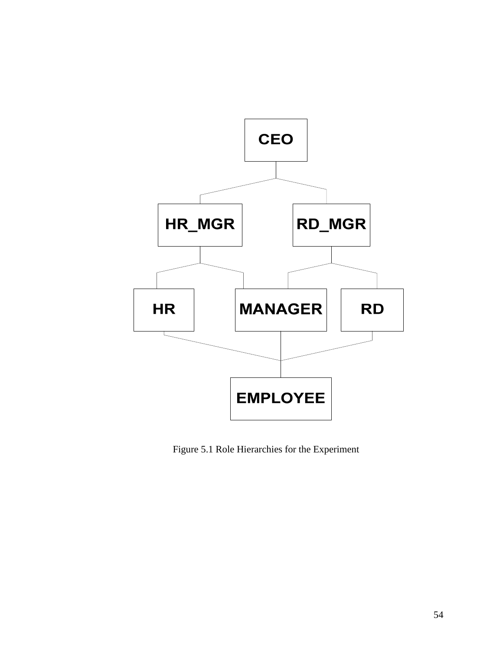

Figure 5.1 Role Hierarchies for the Experiment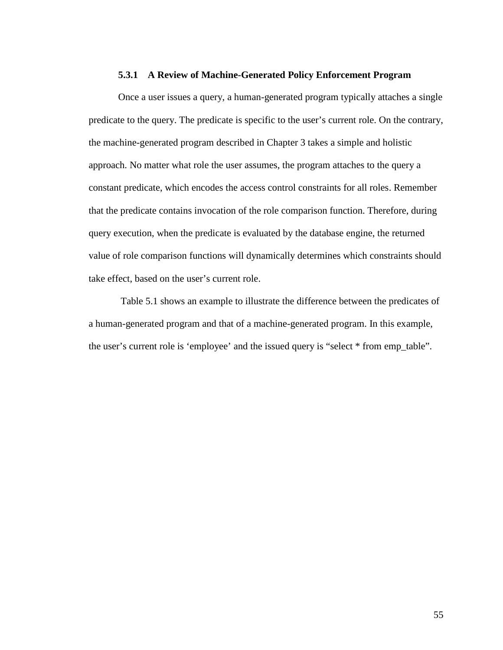#### **5.3.1 A Review of Machine-Generated Policy Enforcement Program**

Once a user issues a query, a human-generated program typically attaches a single predicate to the query. The predicate is specific to the user's current role. On the contrary, the machine-generated program described in Chapter 3 takes a simple and holistic approach. No matter what role the user assumes, the program attaches to the query a constant predicate, which encodes the access control constraints for all roles. Remember that the predicate contains invocation of the role comparison function. Therefore, during query execution, when the predicate is evaluated by the database engine, the returned value of role comparison functions will dynamically determines which constraints should take effect, based on the user's current role.

 Table 5.1 shows an example to illustrate the difference between the predicates of a human-generated program and that of a machine-generated program. In this example, the user's current role is 'employee' and the issued query is "select \* from emp\_table".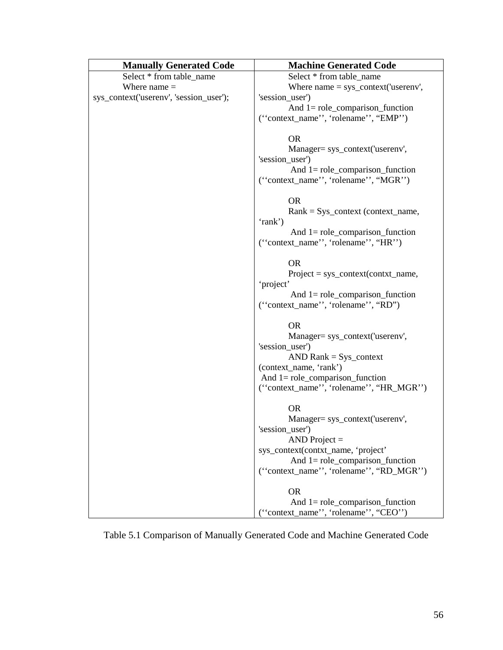| <b>Manually Generated Code</b>          | <b>Machine Generated Code</b>                                                                                                                  |
|-----------------------------------------|------------------------------------------------------------------------------------------------------------------------------------------------|
| Select * from table_name                | Select * from table_name                                                                                                                       |
| Where $name =$                          | Where $name = sys\_context("userenv",$                                                                                                         |
| sys_context('userenv', 'session_user'); | 'session_user')                                                                                                                                |
|                                         | And $1 = role\_comparison\_function$                                                                                                           |
|                                         | ("context_name", "rolename", "EMP")                                                                                                            |
|                                         | <b>OR</b><br>Manager= sys_context('userenv',<br>'session_user')<br>And $1 = role\_comparison\_function$<br>("context_name", "rolename", "MGR") |
|                                         | <b>OR</b><br>$Rank = Sys_{\text{const}}$ (context_name,                                                                                        |
|                                         | 'rank')                                                                                                                                        |
|                                         | And $1 = role\_comparison\_function$                                                                                                           |
|                                         | ("context_name", "rolename", "HR")                                                                                                             |
|                                         | <b>OR</b><br>$Project = sys\_context(context_name,$                                                                                            |
|                                         | 'project'                                                                                                                                      |
|                                         | And $1 = role\_comparison\_function$<br>("context_name", "rolename", "RD")                                                                     |
|                                         | <b>OR</b><br>Manager= sys_context('userenv',                                                                                                   |
|                                         | 'session_user')                                                                                                                                |
|                                         | $AND Rank = Sys$                                                                                                                               |
|                                         | (context_name, 'rank')                                                                                                                         |
|                                         | And $1 = role\_comparison\_function$                                                                                                           |
|                                         | ("context_name", "rolename", "HR_MGR")                                                                                                         |
|                                         | <b>OR</b>                                                                                                                                      |
|                                         | Manager= sys_context('userenv',                                                                                                                |
|                                         | 'session_user')                                                                                                                                |
|                                         | $AND Project =$                                                                                                                                |
|                                         | sys_context(contxt_name, 'project'                                                                                                             |
|                                         | And $1 = role\_comparison\_function$                                                                                                           |
|                                         | ("context_name", "rolename", "RD_MGR")                                                                                                         |
|                                         | <b>OR</b>                                                                                                                                      |
|                                         | And $1 =$ role_comparison_function                                                                                                             |
|                                         | ("context_name", "rolename", "CEO")                                                                                                            |

Table 5.1 Comparison of Manually Generated Code and Machine Generated Code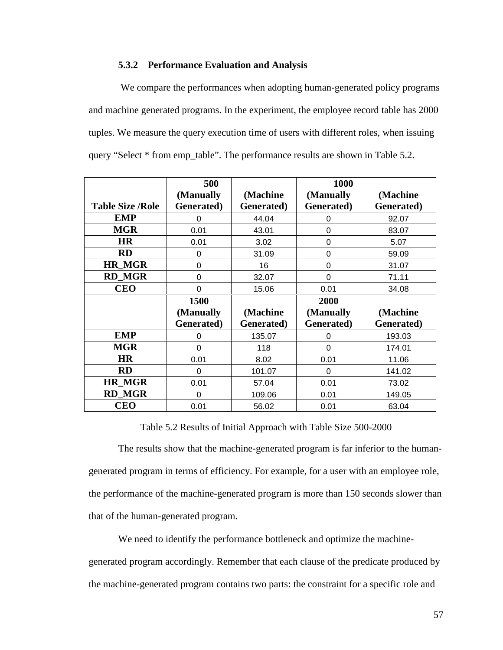### **5.3.2 Performance Evaluation and Analysis**

 We compare the performances when adopting human-generated policy programs and machine generated programs. In the experiment, the employee record table has 2000 tuples. We measure the query execution time of users with different roles, when issuing query "Select \* from emp\_table". The performance results are shown in Table 5.2.

|                         | 500                |            | 1000       |            |
|-------------------------|--------------------|------------|------------|------------|
|                         | (Manually          | (Machine   | (Manually  | (Machine   |
| <b>Table Size /Role</b> | Generated)         | Generated) | Generated) | Generated) |
| <b>EMP</b>              | $\Omega$           | 44.04      | 0          | 92.07      |
| <b>MGR</b>              | 0.01               | 43.01      | $\Omega$   | 83.07      |
| <b>HR</b>               | 0.01               | 3.02       | $\Omega$   | 5.07       |
| <b>RD</b>               | 0                  | 31.09      | 0          | 59.09      |
| <b>HR MGR</b>           | 0                  | 16         | 0          | 31.07      |
| <b>RD MGR</b>           | 0                  | 32.07      | $\Omega$   | 71.11      |
| <b>CEO</b>              | $\overline{0}$     | 15.06      | 0.01       | 34.08      |
|                         |                    |            |            |            |
|                         | 1500               |            | 2000       |            |
|                         | (Manually          | (Machine   | (Manually  | (Machine   |
|                         | <b>Generated</b> ) | Generated) | Generated) | Generated) |
| <b>EMP</b>              | $\Omega$           | 135.07     | $\Omega$   | 193.03     |
| <b>MGR</b>              | $\Omega$           | 118        | $\Omega$   | 174.01     |
| <b>HR</b>               | 0.01               | 8.02       | 0.01       | 11.06      |
| <b>RD</b>               | $\Omega$           | 101.07     | $\Omega$   | 141.02     |
| <b>HR_MGR</b>           | 0.01               | 57.04      | 0.01       | 73.02      |
| <b>RD MGR</b>           | 0                  | 109.06     | 0.01       | 149.05     |

Table 5.2 Results of Initial Approach with Table Size 500-2000

The results show that the machine-generated program is far inferior to the humangenerated program in terms of efficiency. For example, for a user with an employee role, the performance of the machine-generated program is more than 150 seconds slower than that of the human-generated program.

We need to identify the performance bottleneck and optimize the machinegenerated program accordingly. Remember that each clause of the predicate produced by the machine-generated program contains two parts: the constraint for a specific role and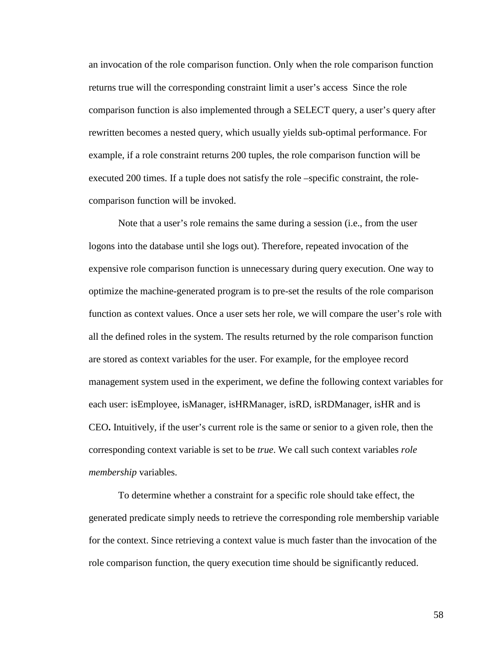an invocation of the role comparison function. Only when the role comparison function returns true will the corresponding constraint limit a user's access Since the role comparison function is also implemented through a SELECT query, a user's query after rewritten becomes a nested query, which usually yields sub-optimal performance. For example, if a role constraint returns 200 tuples, the role comparison function will be executed 200 times. If a tuple does not satisfy the role –specific constraint, the rolecomparison function will be invoked.

Note that a user's role remains the same during a session (i.e., from the user logons into the database until she logs out). Therefore, repeated invocation of the expensive role comparison function is unnecessary during query execution. One way to optimize the machine-generated program is to pre-set the results of the role comparison function as context values. Once a user sets her role, we will compare the user's role with all the defined roles in the system. The results returned by the role comparison function are stored as context variables for the user. For example, for the employee record management system used in the experiment, we define the following context variables for each user: isEmployee, isManager, isHRManager, isRD, isRDManager, isHR and is CEO**.** Intuitively, if the user's current role is the same or senior to a given role, then the corresponding context variable is set to be *true*. We call such context variables *role membership* variables.

To determine whether a constraint for a specific role should take effect, the generated predicate simply needs to retrieve the corresponding role membership variable for the context. Since retrieving a context value is much faster than the invocation of the role comparison function, the query execution time should be significantly reduced.

58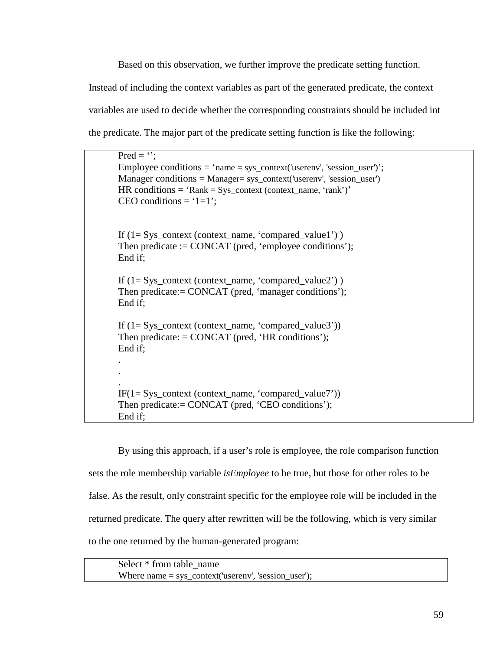Based on this observation, we further improve the predicate setting function. Instead of including the context variables as part of the generated predicate, the context variables are used to decide whether the corresponding constraints should be included int the predicate. The major part of the predicate setting function is like the following:

Pred  $=$   $\cdot$  : Employee conditions  $=$  'name  $=$  sys\_context('userenv', 'session\_user')';  $Management' (user conditions = Manager = sys \ context('userenv', 'session user')$  $HR conditions = 'Rank = Sys\_context (context_name, 'rank')'$ CEO conditions =  $1=1$ ; If  $(1= Sys\text{ context (context name, 'compared value1'))$ Then predicate := CONCAT (pred, 'employee conditions'); End if; If  $(1= Sys(context_name, 'compared_value2'))$ Then predicate:= CONCAT (pred, 'manager conditions'); End if; If  $(1= Sys(context_name, 'compared_value3'))$ Then predicate:  $=$  CONCAT (pred, 'HR conditions'); End if; . . .  $IF(1= Sys\_context (context_name, 'compared_value7'))$ Then predicate:= CONCAT (pred, 'CEO conditions'); End if;

By using this approach, if a user's role is employee, the role comparison function sets the role membership variable *isEmployee* to be true, but those for other roles to be false. As the result, only constraint specific for the employee role will be included in the returned predicate. The query after rewritten will be the following, which is very similar to the one returned by the human-generated program:

Select \* from table\_name Where name  $=$  sys context('userenv', 'session user');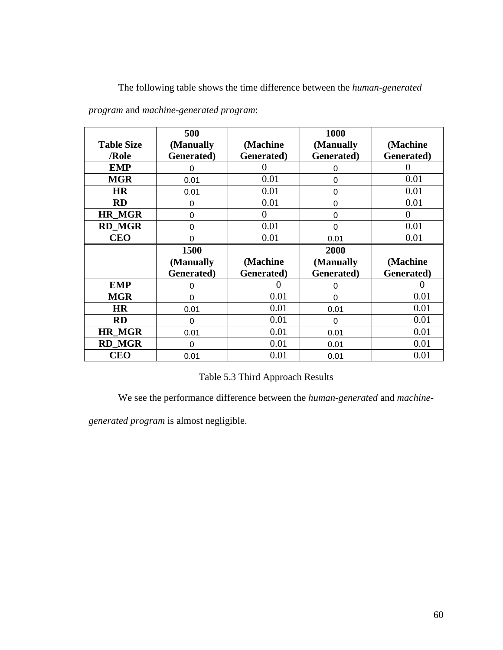The following table shows the time difference between the *human-generated* 

|                   | 500        |            | 1000           |            |
|-------------------|------------|------------|----------------|------------|
| <b>Table Size</b> | (Manually  | (Machine   | (Manually      | (Machine   |
| /Role             | Generated) | Generated) | Generated)     | Generated) |
| <b>EMP</b>        | 0          | $\theta$   | 0              | 0          |
| <b>MGR</b>        | 0.01       | 0.01       | 0              | 0.01       |
| <b>HR</b>         | 0.01       | 0.01       | 0              | 0.01       |
| <b>RD</b>         | 0          | 0.01       | $\Omega$       | 0.01       |
| <b>HR MGR</b>     | $\Omega$   | $\theta$   | $\overline{0}$ | $\theta$   |
| <b>RD MGR</b>     | $\Omega$   | 0.01       | $\overline{0}$ | 0.01       |
| <b>CEO</b>        | 0          | 0.01       | 0.01           | 0.01       |
|                   |            |            |                |            |
|                   | 1500       |            | 2000           |            |
|                   | (Manually  | (Machine   | (Manually      | (Machine   |
|                   | Generated) | Generated) | Generated)     | Generated) |
| <b>EMP</b>        | 0          | 0          | 0              |            |
| <b>MGR</b>        | $\Omega$   | 0.01       | $\Omega$       | 0.01       |
| <b>HR</b>         | 0.01       | 0.01       | 0.01           | 0.01       |
| <b>RD</b>         | 0          | 0.01       | 0              | 0.01       |
| <b>HR MGR</b>     | 0.01       | 0.01       | 0.01           | 0.01       |
| <b>RD_MGR</b>     | $\Omega$   | 0.01       | 0.01           | 0.01       |

*program* and *machine-generated program*:

Table 5.3 Third Approach Results

We see the performance difference between the *human-generated* and *machine-*

*generated program* is almost negligible.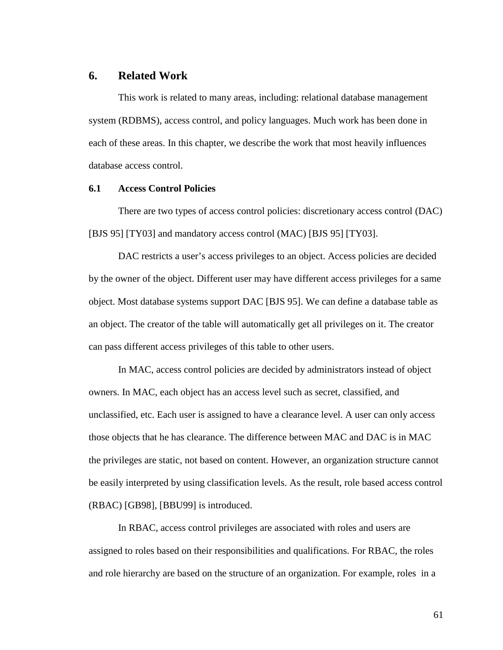## **6. Related Work**

This work is related to many areas, including: relational database management system (RDBMS), access control, and policy languages. Much work has been done in each of these areas. In this chapter, we describe the work that most heavily influences database access control.

#### **6.1 Access Control Policies**

There are two types of access control policies: discretionary access control (DAC) [BJS 95] [TY03] and mandatory access control (MAC) [BJS 95] [TY03].

DAC restricts a user's access privileges to an object. Access policies are decided by the owner of the object. Different user may have different access privileges for a same object. Most database systems support DAC [BJS 95]. We can define a database table as an object. The creator of the table will automatically get all privileges on it. The creator can pass different access privileges of this table to other users.

In MAC, access control policies are decided by administrators instead of object owners. In MAC, each object has an access level such as secret, classified, and unclassified, etc. Each user is assigned to have a clearance level. A user can only access those objects that he has clearance. The difference between MAC and DAC is in MAC the privileges are static, not based on content. However, an organization structure cannot be easily interpreted by using classification levels. As the result, role based access control (RBAC) [GB98], [BBU99] is introduced.

In RBAC, access control privileges are associated with roles and users are assigned to roles based on their responsibilities and qualifications. For RBAC, the roles and role hierarchy are based on the structure of an organization. For example, roles in a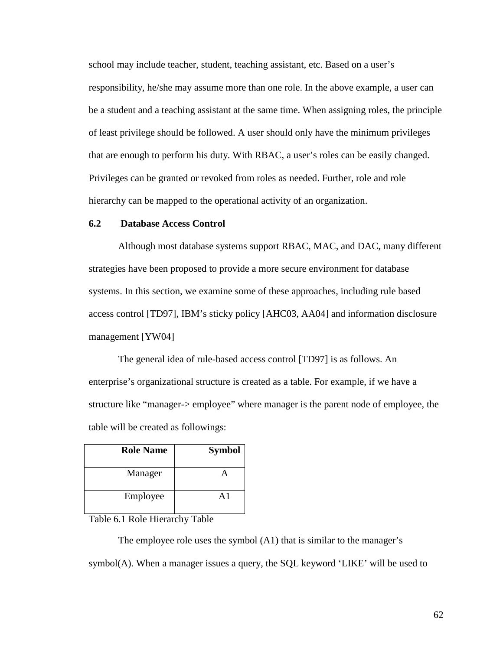school may include teacher, student, teaching assistant, etc. Based on a user's responsibility, he/she may assume more than one role. In the above example, a user can be a student and a teaching assistant at the same time. When assigning roles, the principle of least privilege should be followed. A user should only have the minimum privileges that are enough to perform his duty. With RBAC, a user's roles can be easily changed. Privileges can be granted or revoked from roles as needed. Further, role and role hierarchy can be mapped to the operational activity of an organization.

### **6.2 Database Access Control**

Although most database systems support RBAC, MAC, and DAC, many different strategies have been proposed to provide a more secure environment for database systems. In this section, we examine some of these approaches, including rule based access control [TD97], IBM's sticky policy [AHC03, AA04] and information disclosure management [YW04]

The general idea of rule-based access control [TD97] is as follows. An enterprise's organizational structure is created as a table. For example, if we have a structure like "manager-> employee" where manager is the parent node of employee, the table will be created as followings:

| <b>Role Name</b> | <b>Symbol</b> |
|------------------|---------------|
| Manager          |               |
| Employee         | $\Delta$ 1    |

Table 6.1 Role Hierarchy Table

The employee role uses the symbol (A1) that is similar to the manager's symbol(A). When a manager issues a query, the SQL keyword 'LIKE' will be used to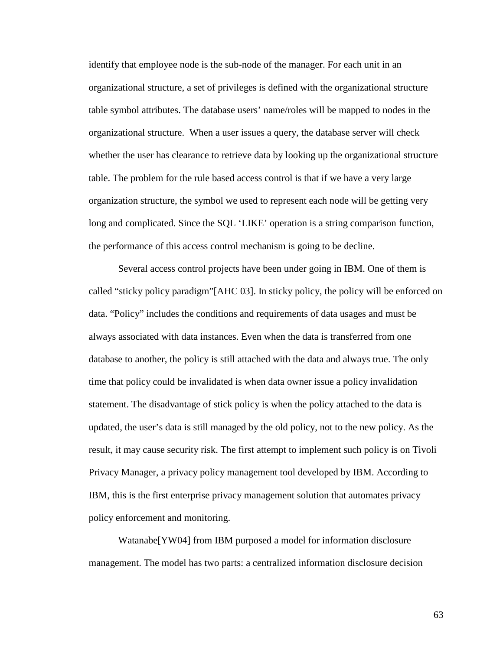identify that employee node is the sub-node of the manager. For each unit in an organizational structure, a set of privileges is defined with the organizational structure table symbol attributes. The database users' name/roles will be mapped to nodes in the organizational structure. When a user issues a query, the database server will check whether the user has clearance to retrieve data by looking up the organizational structure table. The problem for the rule based access control is that if we have a very large organization structure, the symbol we used to represent each node will be getting very long and complicated. Since the SQL 'LIKE' operation is a string comparison function, the performance of this access control mechanism is going to be decline.

Several access control projects have been under going in IBM. One of them is called "sticky policy paradigm"[AHC 03]. In sticky policy, the policy will be enforced on data. "Policy" includes the conditions and requirements of data usages and must be always associated with data instances. Even when the data is transferred from one database to another, the policy is still attached with the data and always true. The only time that policy could be invalidated is when data owner issue a policy invalidation statement. The disadvantage of stick policy is when the policy attached to the data is updated, the user's data is still managed by the old policy, not to the new policy. As the result, it may cause security risk. The first attempt to implement such policy is on Tivoli Privacy Manager, a privacy policy management tool developed by IBM. According to IBM, this is the first enterprise privacy management solution that automates privacy policy enforcement and monitoring.

Watanabe[YW04] from IBM purposed a model for information disclosure management. The model has two parts: a centralized information disclosure decision

63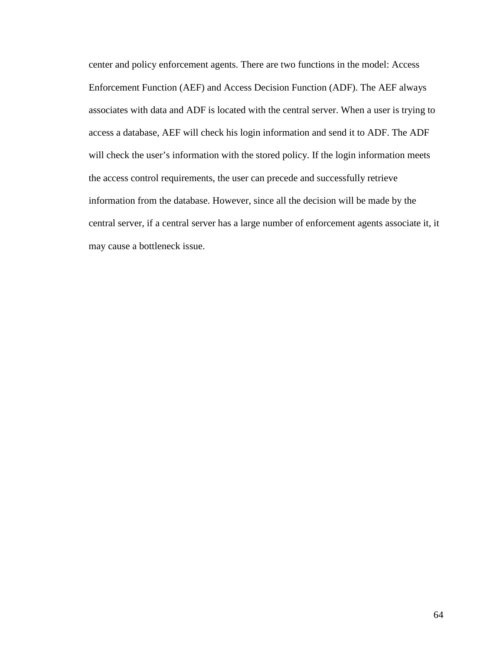center and policy enforcement agents. There are two functions in the model: Access Enforcement Function (AEF) and Access Decision Function (ADF). The AEF always associates with data and ADF is located with the central server. When a user is trying to access a database, AEF will check his login information and send it to ADF. The ADF will check the user's information with the stored policy. If the login information meets the access control requirements, the user can precede and successfully retrieve information from the database. However, since all the decision will be made by the central server, if a central server has a large number of enforcement agents associate it, it may cause a bottleneck issue.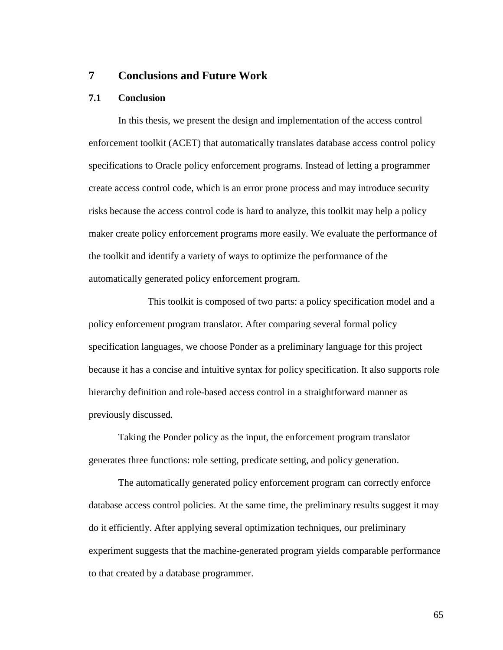# **7 Conclusions and Future Work**

#### **7.1 Conclusion**

 In this thesis, we present the design and implementation of the access control enforcement toolkit (ACET) that automatically translates database access control policy specifications to Oracle policy enforcement programs. Instead of letting a programmer create access control code, which is an error prone process and may introduce security risks because the access control code is hard to analyze, this toolkit may help a policy maker create policy enforcement programs more easily. We evaluate the performance of the toolkit and identify a variety of ways to optimize the performance of the automatically generated policy enforcement program.

 This toolkit is composed of two parts: a policy specification model and a policy enforcement program translator. After comparing several formal policy specification languages, we choose Ponder as a preliminary language for this project because it has a concise and intuitive syntax for policy specification. It also supports role hierarchy definition and role-based access control in a straightforward manner as previously discussed.

Taking the Ponder policy as the input, the enforcement program translator generates three functions: role setting, predicate setting, and policy generation.

The automatically generated policy enforcement program can correctly enforce database access control policies. At the same time, the preliminary results suggest it may do it efficiently. After applying several optimization techniques, our preliminary experiment suggests that the machine-generated program yields comparable performance to that created by a database programmer.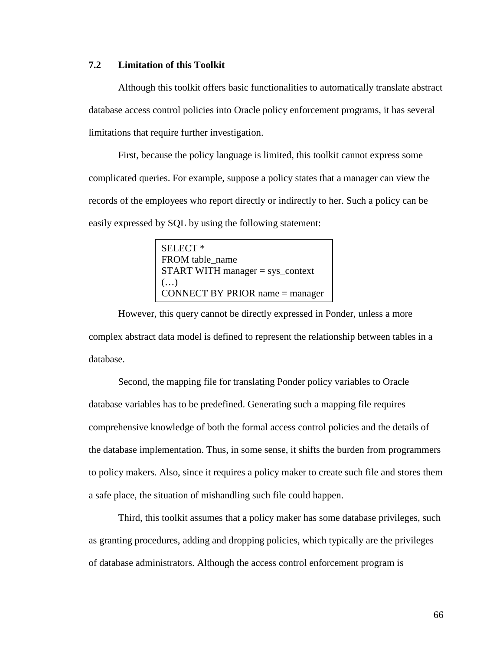# **7.2 Limitation of this Toolkit**

Although this toolkit offers basic functionalities to automatically translate abstract database access control policies into Oracle policy enforcement programs, it has several limitations that require further investigation.

First, because the policy language is limited, this toolkit cannot express some complicated queries. For example, suppose a policy states that a manager can view the records of the employees who report directly or indirectly to her. Such a policy can be easily expressed by SQL by using the following statement:

> SELECT \* FROM table\_name START WITH manager = sys\_context (…) CONNECT BY PRIOR name = manager

However, this query cannot be directly expressed in Ponder, unless a more complex abstract data model is defined to represent the relationship between tables in a database.

Second, the mapping file for translating Ponder policy variables to Oracle database variables has to be predefined. Generating such a mapping file requires comprehensive knowledge of both the formal access control policies and the details of the database implementation. Thus, in some sense, it shifts the burden from programmers to policy makers. Also, since it requires a policy maker to create such file and stores them a safe place, the situation of mishandling such file could happen.

Third, this toolkit assumes that a policy maker has some database privileges, such as granting procedures, adding and dropping policies, which typically are the privileges of database administrators. Although the access control enforcement program is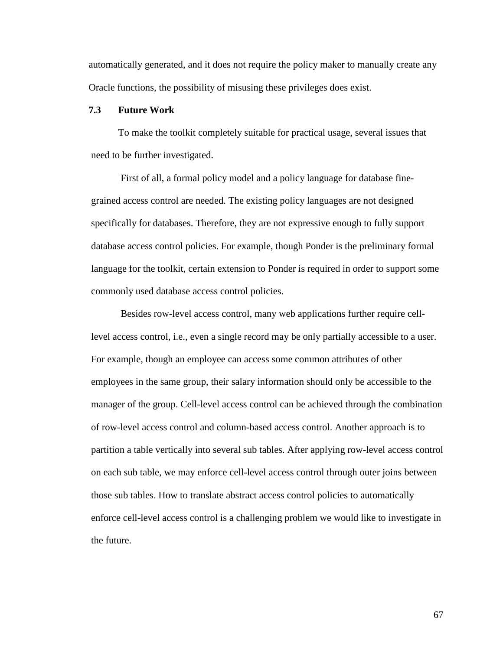automatically generated, and it does not require the policy maker to manually create any Oracle functions, the possibility of misusing these privileges does exist.

#### **7.3 Future Work**

To make the toolkit completely suitable for practical usage, several issues that need to be further investigated.

First of all, a formal policy model and a policy language for database finegrained access control are needed. The existing policy languages are not designed specifically for databases. Therefore, they are not expressive enough to fully support database access control policies. For example, though Ponder is the preliminary formal language for the toolkit, certain extension to Ponder is required in order to support some commonly used database access control policies.

Besides row-level access control, many web applications further require celllevel access control, i.e., even a single record may be only partially accessible to a user. For example, though an employee can access some common attributes of other employees in the same group, their salary information should only be accessible to the manager of the group. Cell-level access control can be achieved through the combination of row-level access control and column-based access control. Another approach is to partition a table vertically into several sub tables. After applying row-level access control on each sub table, we may enforce cell-level access control through outer joins between those sub tables. How to translate abstract access control policies to automatically enforce cell-level access control is a challenging problem we would like to investigate in the future.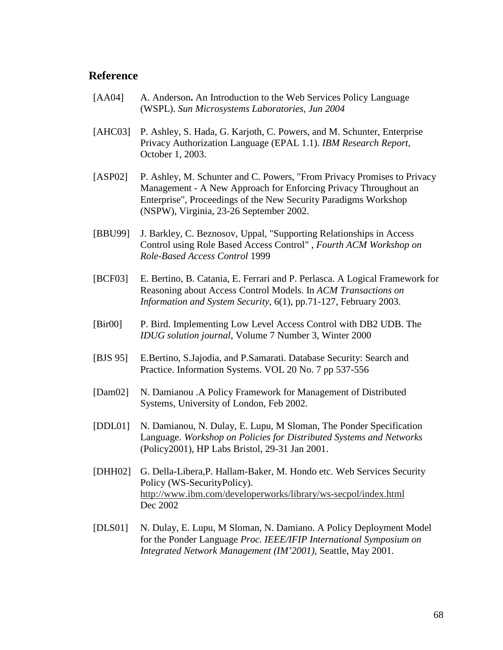### **Reference**

- [AA04] A. Anderson**.** An Introduction to the Web Services Policy Language (WSPL). *Sun Microsystems Laboratories, Jun 2004*
- [AHC03] P. Ashley, S. Hada, G. Karjoth, C. Powers, and M. Schunter, Enterprise Privacy Authorization Language (EPAL 1.1). *IBM Research Report*, October 1, 2003.
- [ASP02] P. Ashley, M. Schunter and C. Powers, "From Privacy Promises to Privacy Management - A New Approach for Enforcing Privacy Throughout an Enterprise", Proceedings of the New Security Paradigms Workshop (NSPW), Virginia, 23-26 September 2002.
- [BBU99] J. Barkley, C. Beznosov, Uppal, "Supporting Relationships in Access Control using Role Based Access Control" , *Fourth ACM Workshop on Role-Based Access Control* 1999
- [BCF03] E. Bertino, B. Catania, E. Ferrari and P. Perlasca. A Logical Framework for Reasoning about Access Control Models. In *ACM Transactions on Information and System Security*, 6(1), pp.71-127, February 2003.
- [Bir00] P. Bird. Implementing Low Level Access Control with DB2 UDB. The *IDUG solution journal*, Volume 7 Number 3, Winter 2000
- [BJS 95] E.Bertino, S.Jajodia, and P.Samarati. Database Security: Search and Practice. Information Systems. VOL 20 No. 7 pp 537-556
- [Dam02] N. Damianou .A Policy Framework for Management of Distributed Systems, University of London, Feb 2002.
- [DDL01] N. Damianou, N. Dulay, E. Lupu, M Sloman, The Ponder Specification Language. *Workshop on Policies for Distributed Systems and Networks*  (Policy2001), HP Labs Bristol, 29-31 Jan 2001.
- [DHH02] G. Della-Libera,P. Hallam-Baker, M. Hondo etc. Web Services Security Policy (WS-SecurityPolicy). http://www.ibm.com/developerworks/library/ws-secpol/index.html Dec 2002
- [DLS01] N. Dulay, E. Lupu, M Sloman, N. Damiano. A Policy Deployment Model for the Ponder Language *Proc. IEEE/IFIP International Symposium on Integrated Network Management (IM'2001),* Seattle, May 2001.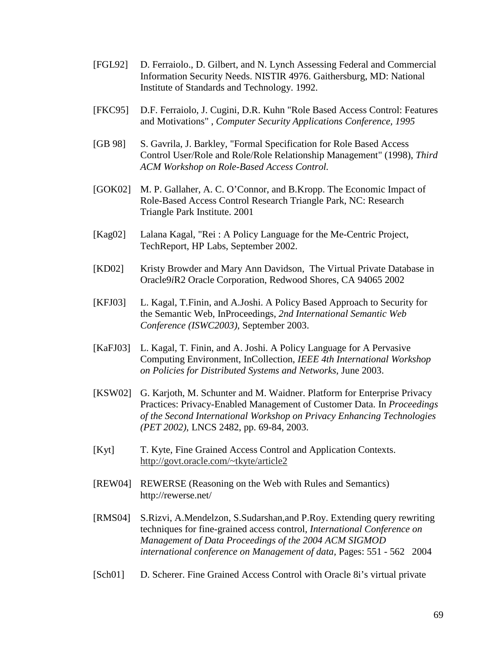- [FGL92] D. Ferraiolo., D. Gilbert, and N. Lynch Assessing Federal and Commercial Information Security Needs. NISTIR 4976. Gaithersburg, MD: National Institute of Standards and Technology. 1992.
- [FKC95] D.F. Ferraiolo, J. Cugini, D.R. Kuhn "Role Based Access Control: Features and Motivations" , *Computer Security Applications Conference, 1995*
- [GB 98] S. Gavrila, J. Barkley, "Formal Specification for Role Based Access" Control User/Role and Role/Role Relationship Management" (1998), *Third ACM Workshop on Role-Based Access Control.*
- [GOK02] M. P. Gallaher, A. C. O'Connor, and B.Kropp. The Economic Impact of Role-Based Access Control Research Triangle Park, NC: Research Triangle Park Institute. 2001
- [Kag02] Lalana Kagal, "Rei : A Policy Language for the Me-Centric Project, TechReport, HP Labs, September 2002.
- [KD02] Kristy Browder and Mary Ann Davidson, The Virtual Private Database in Oracle9*i*R2 Oracle Corporation, Redwood Shores, CA 94065 2002
- [KFJ03] L. Kagal, T.Finin, and A.Joshi. A Policy Based Approach to Security for the Semantic Web, InProceedings, *2nd International Semantic Web Conference (ISWC2003)*, September 2003.
- [KaFJ03] L. Kagal, T. Finin, and A. Joshi. A Policy Language for A Pervasive Computing Environment, InCollection, *IEEE 4th International Workshop on Policies for Distributed Systems and Networks*, June 2003.
- [KSW02] G. Karjoth, M. Schunter and M. Waidner. Platform for Enterprise Privacy Practices: Privacy-Enabled Management of Customer Data. In *Proceedings of the Second International Workshop on Privacy Enhancing Technologies (PET 2002)*, LNCS 2482, pp. 69-84, 2003.
- [Kyt] T. Kyte, Fine Grained Access Control and Application Contexts. http://govt.oracle.com/~tkyte/article2
- [REW04] REWERSE (Reasoning on the Web with Rules and Semantics) http://rewerse.net/
- [RMS04] S.Rizvi, A.Mendelzon, S.Sudarshan,and P.Roy. Extending query rewriting techniques for fine-grained access control*, International Conference on Management of Data Proceedings of the 2004 ACM SIGMOD international conference on Management of data,* Pages: 551 - 562 2004
- [Sch01] D. Scherer. Fine Grained Access Control with Oracle 8i's virtual private